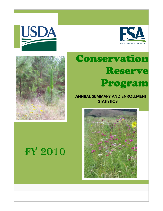



# Conservation Reserve Program

 ANNUAL SUMMARY AND ENROLLMENT **STATISTICS** 





# FY 2010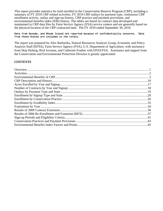This report provides statistics for land enrolled in the Conservation Reserve Program (CRP), including a summary of FY 2010 CRP related activities, FY 2010 CRP outlays by payment type, continuous CRP enrollment activity, outlay and sign-up history, CRP practice and payment provisions, and environmental benefits index (EBI) history. The tables are based on contract data developed and maintained in CRP data files by Farm Service Agency (FSA) service centers and are generally based on the physical location of the CRP contracted land. The FY 2010 ended September 30, 2010.

#### Data from Nevada, and Rhode Island not reported because of confidentiality concerns. Data from these States are included in the totals.

The report was prepared by Alex Barbarika, Natural Resources Analysis Group, Economic and Policy Analysis Staff (EPAS), Farm Service Agency (FSA), U.S. Department of Agriculture, with assistance from Skip Hyberg, Rich Iovanna, and Catherine Feather with EPAS/FSA. Assistance and support from the Conservation and Environmental Protection Division is greatly appreciated.

#### *CONTENTS*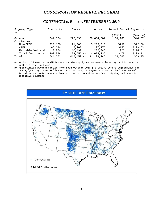#### *CONSERVATION RESERVE PROGRAM*

#### *CONTRACTS IN EFFECT, SEPTEMBER 30, 2010*

| Sign-up Type<br>b/    | Contracts | Farms         | Acres      | Annual Rental Payments |           |
|-----------------------|-----------|---------------|------------|------------------------|-----------|
|                       |           |               |            | (\$Million)            | (\$/Acre) |
| General<br>Continuous | 342,584   | 225,595       | 26,664,009 | \$1,188                | \$44.57   |
| Non-CREP              | 320,160   | 191,008       | 3,205,013  | \$297                  | \$92.56   |
| CREP                  | 68,624    | 45,203        | 1,197,175  | \$155                  | \$129.63  |
| Farmable Wetland      | 13,274    | 10,492        | 232,048    | \$26                   | \$114.61  |
| Total Continuous      | 402,088   | $233,555$ a/  | 4,634,236  | \$478                  | \$103.22  |
| Total                 | 744,672   | 416,459<br>a/ | 31,298,245 | \$1,667                | \$53.25   |

a/ Number of farms not additive across sign-up types because a farm may participate in multiple sign-up types.

b/ Approximates payments which were paid October 2010 (FY 2011), before adjustments for haying/grazing, non-compliance, terminations, part-year contracts. Includes annual incentive and maintenance allowance, but not one-time up-front signing and practice incentive payments.

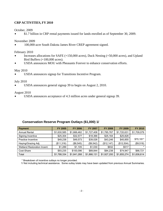#### **CRP ACTIVITIES, FY 2010**

October, 2009

\$ \$1.7 billion in CRP rental payments issued for lands enrolled as of September 30, 2009.

November 2009

100,000-acre South Dakota James River CREP agreement signed.

February 2010

- Increases allocations for SAFE  $(+150,000$  acres), Duck Nesting  $(+50,000$  acres), and Upland Bird Buffers (+100,000 acres).
- USDA announces MOU with Pheasants Forever to enhance conservation efforts.

#### May 2010

USDA announces signup for Transitions Incentive Program.

July 2010

USDA announces general signup 39 to begin on August 2, 2010.

August 2010

• USDA announces acceptance of 4.3 million acres under general signup 39.

| <b>Payment</b>              | <b>FY 2005</b> | <b>FY 2006</b> | <b>FY 2007</b> | <b>FY 2008</b> | <b>FY 2009</b> | <b>FY 2010</b> |
|-----------------------------|----------------|----------------|----------------|----------------|----------------|----------------|
| <b>Annual Rental</b>        | \$1,630,585    | \$1,666,462    | \$1,727,408    | \$1,785,767    | \$1,720,631    | \$1,709,079    |
| Signing Incentive           | \$25,304       | \$32,577       | \$18,366       | \$25,164       | \$25,828       |                |
| <b>Practice Incentive</b>   | \$49,238       | \$49,573       | \$39,026       | \$43,246       | \$45,855       | \$70.181*      |
| Haying/Grazing Adj.         | (\$11,316)     | (\$8,545)      | (\$9,542)      | (\$12, 147)    | (\$12,504)     | (\$9,518)      |
| Wetland Restoration Incent. | \$1.289        | \$1.105        | \$1,030        | \$932          | \$517          |                |
| Cost-Share                  | \$93,235       | \$100,096      | \$89,844       | \$84,238       | \$74,947       | \$66,721       |
| Total                       | \$1,788,334    | \$1,841,268    | \$1,866,131    | \$1,927,200    | \$1,855,274    | \$1,836,614    |

#### **Conservation Reserve Program Outlays (\$1,000) 1/**

\* Breakdown of incentive outlays no longer provided.

1/ Not including technical assistance. Some outlay totals may have been updated from previous Annual Summaries.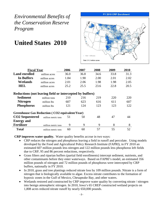### **United States 2010**



| <b>Fiscal Year</b>                                       |                     | 2006 | 2007 | 2008 | 2009 | 2010 |  |  |  |  |  |
|----------------------------------------------------------|---------------------|------|------|------|------|------|--|--|--|--|--|
| <b>Land enrolled</b>                                     | million acres       | 36.0 | 36.8 | 34.6 | 33.8 | 31.3 |  |  |  |  |  |
| <b>In Buffers</b>                                        | million acres       | 1.84 | 1.90 | 2.00 | 2.01 | 2.02 |  |  |  |  |  |
| Wetlands                                                 | million acres       | 2.01 | 2.06 | 1.98 | 1.98 | 2.05 |  |  |  |  |  |
| <b>HEL</b>                                               | million acres       | 25.2 | 25.5 | 23.6 | 22.8 | 20.5 |  |  |  |  |  |
| Reductions (not leaving field or intercepted by buffers) |                     |      |      |      |      |      |  |  |  |  |  |
| <b>Sediment</b>                                          | million tons        | 210  | 216  | 219  | 220  | 220  |  |  |  |  |  |
| <b>Nitrogen</b>                                          | million lbs         | 607  | 623  | 616  | 611  | 607  |  |  |  |  |  |
| <b>Phosphorus</b>                                        | million lbs         | 121  | 124  | 123  | 123  | 122  |  |  |  |  |  |
| <b>Greenhouse Gas Reduction (CO2 equivalent/Year)</b>    |                     |      |      |      |      |      |  |  |  |  |  |
| <b>CO2</b> Sequestered                                   | million metric tons | 51   | 50   | 48   | 47   | 44   |  |  |  |  |  |
| <b>Energy and</b>                                        |                     |      |      |      |      |      |  |  |  |  |  |
| <b>Fertilizer</b>                                        | million metric tons | 9    | 9    | 9    | 8    | 8    |  |  |  |  |  |
| <b>Total</b>                                             | million metric tons | 60   | 60   | 57   | 55   | 52   |  |  |  |  |  |

**CRP improves water quality.** Water quality benefits accrue in two ways:

- CRP reduces the nitrogen and phosphorus leaving a field in runoff and percolate. Using models developed by the Food and Agricultural Policy Research Institute (FAPRI), in FY 2010 an estimated 607 million pounds less nitrogen and 122 million pounds less phosphorus left fields due to CRP, 95 and 86 percent reductions, respectively.
- Grass filters and riparian buffers (partial field enrollments) intercept sediment, nutrients, and other contaminants before they enter waterways. Based on FAPRI's model, an estimated 356 million pounds of nitrogen and 72 million pounds of phosphorus were intercepted by CRP buffers, nationally in FY 2010.
- In 2010, grass and tree plantings reduced nitrate loss by 109 million pounds. Nitrate is a form of nitrogen that is biologically available to algae. Excess nitrate contributes to the formation of hypoxic zones in the Gulf of Mexico, Chesapeake Bay, and other waters.
- Wetlands restored and constructed by CRP improve water quality by converting nitrate / nitrogen into benign atmospheric nitrogen. In 2010, Iowa's 65 CREP constructed wetland projects on 1,808 acres reduced nitrate runoff by nearly 650,000 pounds.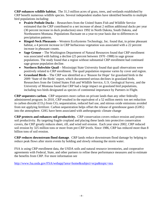**CRP enhances wildlife habitat.** The 31.3 million acres of grass, trees, and wetlands established by CRP benefit numerous wildlife species. Several independent studies have identified benefits to multiple bird populations including:

- **Prairie Pothole Ducks**  Researchers from the United States Fish and Wildlife Service estimated that the CRP contributed to a net increase of about 2 million additional ducks per year (30 percent increase in duck production) since 1992 in North Dakota, South Dakota, and Northeastern Montana. Populations fluctuate on a year-to-year basis due to differences in precipitation patterns.
- **Ringed-Neck Pheasants** Western EcoSystems Technology, Inc. found that, in prime pheasant habitat, a 4 percent increase in CRP herbaceous vegetation was associated with a 22 percent increase in pheasant counts.
- **Sage Grouse** The Washington Department of Natural Resources found that CRP enrollment was associated with halting a decline (25 percent between 1970 -1988) in sage grouse populations. The study found that a region without substantial CRP enrollment had continued sage grouse population decline.
- **Northern Bobwhite Quail**  Mississippi State University found that quail observations were positively related to CRP enrollment. The quail population response varies by cover and region.
- **Grassland Birds** The CRP was identified as a 'Reason for Hope' for grassland birds in the 2009 'State of the Birds' report, which documented serious declines in grassland birds. Researchers from the United States Fish and Wildlife Service, U.S. Geological Survey, and the University of Montana found that CRP had a large impact on grassland bird populations, including two birds designated as species of continental importance by Partners in Flight.

**CRP sequesters carbon.** CRP sequesters more carbon on private lands than any other federally administered program. In 2010, CRP resulted in the equivalent of a 52 million metric ton net reduction in carbon dioxide  $(CO_2)$  from  $CO_2$  sequestration, reduced fuel use, and nitrous oxide emissions avoided from not applying fertilizer. Carbon sequestration helps offset the release of greenhouse gases (GHG) into the atmosphere. GHG have been associated with anthropogenic climate change

**CRP protects and enhances soil productivity.** CRP conservation covers reduce erosion and protect soil productivity. By targeting fragile cropland and placing these lands into protective conservation covers, the CRP greatly reduces sheet, rill, and wind soil erosion. Each year since 2002, CRP reduced soil erosion by 325 million tons or more from pre-CRP levels. Since 1986, CRP has reduced more than 8 billion tons of soil erosion.

**CRP reduces downstream flood damage**. CRP lands reduce downstream flood damage by helping to reduce peak flows after storm events by holding and slowly releasing the storm water.

FSA is using CRP enrollment data, the USDA soils and natural resource inventories, and cooperative agreements with Federal, State, and other partners to refine these performance measures and to estimate the benefits from CRP. For more information see

http://www.fsa.usda.gov/FSA/webapp?area=home&subject=ecpa&topic=nra.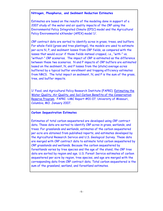#### **Nitrogen, Phosphorus, and Sediment Reduction Estimates**

Estimates are based on the results of the modeling done in support of a 2007 study of the water and air quality impacts of the CRP using the Environmental Policy Integrated Climate (EPIC) model and the Agricultural Policy Environmental eXtender (APEX) model 1/.

CRP contract data are sorted to identify acres in grass, trees, and buffers. For whole-field (grass and tree plantings), the models are used to estimate per-acre N, P, and sediment losses from CRP fields, as compared with the losses that would occur if those fields instead cropped, i.e., "with-" vs. "without-" CRP scenarios. The impact of CRP is estimated as the difference between these two scenarios. N and P impacts of CRP buffers are estimated based on the sediment, N, and P losses from the (state) average acres buffered by a typical buffer enrollment and trapping efficiency estimates from NRCS. The total impact on sediment, N, and P is the sum of the grass, tree, and buffer impacts.

1/ Food, and Agricultural Policy Research Institute (FAPRI). Estimating the Water Quality, Air Quality, and Soil Carbon Benefits of the Conservation Reserve Program. FAPRI -UMC Report #01-07. University of Missouri, Columbia, MO. January 2007.

#### **Carbon Sequestration Estimates**

Estimates of total carbon sequestered are developed using CRP contract data. These data are sorted to identify CRP acres in grass, wetlands, and trees. For grasslands and wetlands, estimates of the carbon sequestered per acre are obtained from published reports, and estimates developed by the Agricultural Research Service and U.S. Geological Survey. These data are merged with CRP contract data to estimate total carbon sequestered by CRP grasslands and wetlands. Because the carbon sequestered by forestlands varies by tree species and the age of the stand, the CRP tree data are sorted by region and age. U.S. Forest Service estimates of carbon sequestered per acre by region, tree species, and age are merged with the corresponding data from CRP contract data. Total carbon sequestered is the sum of the grassland, wetland, and forestland estimates.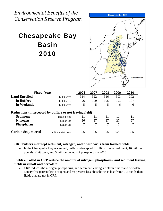## Chesapeake Bay Basin 2010



| <b>Fiscal Year</b>                                       |                     | 2006 | 2007 | 2008 | 2009 | 2010 |  |  |  |  |  |
|----------------------------------------------------------|---------------------|------|------|------|------|------|--|--|--|--|--|
| <b>Land Enrolled</b>                                     | $1.000$ acres       | 314  | 322  | 316  | 303  | 302  |  |  |  |  |  |
| In Buffers                                               | $1.000$ acres       | 96   | 100  | 105  | 103  | 107  |  |  |  |  |  |
| In Wetlands                                              | $1.000$ acres       | 5    | 5    | 5    | 6    | 6    |  |  |  |  |  |
| Reductions (intercepted by buffers or not leaving field) |                     |      |      |      |      |      |  |  |  |  |  |
| <b>Sediment</b>                                          | million tons        | 11   | 11   | 11   | 11   | 11   |  |  |  |  |  |
| <b>Nitrogen</b>                                          | million lbs         | 26   | 27   | 27   | 27   | 27   |  |  |  |  |  |
| <b>Phosphorus</b>                                        | million lbs         | 7    | 7    | 7    | 7    | 7    |  |  |  |  |  |
| <b>Carbon Sequestered</b>                                | million metric tons | 0.5  | 0.5  | 0.5  | 0.5  | 0.5  |  |  |  |  |  |

#### **CRP buffers intercept sediment, nitrogen, and phosphorus from farmed fields:**

• In the Chesapeake Bay watershed, buffers intercepted 8 million tons of sediment, 16 million pounds of nitrogen, and 5 million pounds of phosphorus in 2010**.** 

#### **Fields enrolled in CRP reduce the amount of nitrogen, phosphorus, and sediment leaving fields in runoff and percolate:**

 CRP reduces the nitrogen, phosphorus, and sediment leaving a field in runoff and percolate. Ninety five percent less nitrogen and 86 percent less phosphorus is lost from CRP fields than fields that are not in CRP.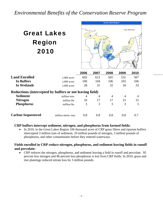## Great Lakes Region 2010



|                                                          |                     | 2006 | 2007 | 2008 | 2009           | 2010           |  |  |  |  |  |
|----------------------------------------------------------|---------------------|------|------|------|----------------|----------------|--|--|--|--|--|
| <b>Land Enrolled</b>                                     | $1.000$ acres       | 602  | 613  | 565  | 531            | 507            |  |  |  |  |  |
| In Buffers                                               | $1.000$ acres       | 100  | 104  | 106  | 103            | 106            |  |  |  |  |  |
| In Wetlands                                              | $1.000$ acres       | 28   | 31   | 32   | 34             | 33             |  |  |  |  |  |
| Reductions (intercepted by buffers or not leaving field) |                     |      |      |      |                |                |  |  |  |  |  |
| <b>Sediment</b>                                          | million tons        | 4    | 4    | 4    | $\overline{4}$ | $\overline{4}$ |  |  |  |  |  |
| <b>Nitrogen</b>                                          | million lbs         | 16   | 17   | 17   | 15             | 15             |  |  |  |  |  |
| <b>Phosphorus</b>                                        | million lbs         | 3    | 3    | 3    | 3              | 3              |  |  |  |  |  |
|                                                          |                     |      |      |      |                |                |  |  |  |  |  |
| <b>Carbon Sequestered</b>                                | million metric tons | 0.8  | 0.8  | 0.8  | 0.8            | 0.7            |  |  |  |  |  |

#### **CRP buffers intercept sediment, nitrogen, and phosphorus from farmed fields:**

• In 2010, in the Great Lakes Region 106 thousand acres of CRP grass filters and riparian buffers intercepted 3 million tons of sediment, 10 million pounds of nitrogen, 3 million pounds of phosphorus, and other contaminants before they entered waterways.

#### **Fields enrolled in CRP reduce nitrogen, phosphorus, and sediment leaving fields in runoff and percolate:**

• CRP reduces the nitrogen, phosphorus, and sediment leaving a field in runoff and percolate. 95 percent less nitrogen and 86 percent less phosphorus is lost from CRP fields. In 2010, grass and tree plantings reduced nitrate loss by 3 million pounds.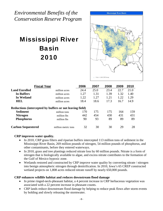## Mississippi River Basin 2010



|                           | <b>Fiscal Year</b>                                                       | 2006 | 2007 | 2008 | 2009 | 2010 |
|---------------------------|--------------------------------------------------------------------------|------|------|------|------|------|
| <b>Land Enrolled</b>      | million acres                                                            | 24.4 | 25.0 | 23.4 | 22.7 | 21.0 |
| In Buffers                | million acres                                                            | 1.27 | 1.31 | 1.39 | 1.32 | 1.40 |
| In Wetland                | million acres                                                            | 1.22 | 1.27 | 1.21 | 1.22 | 1.29 |
| HEL                       | million acres                                                            | 18.4 | 18.6 | 17.3 | 16.7 | 14.9 |
| <b>Sediment</b>           | Reductions (intercepted by buffers or not leaving field)<br>million tons | 170  | 175  | 175  | 164  | 159  |
| <b>Nitrogen</b>           | million lbs                                                              | 442  | 454  | 430  | 431  | 431  |
| <b>Phosphorus</b>         | million lbs                                                              | 90   | 93   | 89   | 89   | 89   |
| <b>Carbon Sequestered</b> | million metric tons                                                      | 32   | 30   | 30   | 29   | 28   |

#### **CRP improves water quality.**

- In 2010, CRP grass filters and riparian buffers intercepted 113 million tons of sediment in the Mississippi River Basin, 269 million pounds of nitrogen, 54 million pounds of phosphorus, and other contaminants, before they entered waterways.
- In 2010, grass and tree plantings reduced nitrate loss by 60 million pounds. Nitrate is a form of nitrogen that is biologically available to algae, and excess nitrate contributes to the formation of the Gulf of Mexico hypoxic zone.
- Wetlands restored and constructed by CRP improve water quality by converting nitrate / nitrogen into benign atmospheric nitrogen through denitrification. In 2010, Iowa's 65 CREP constructed wetland projects on 1,808 acres reduced nitrate runoff by nearly 650,000 pounds.

#### **CRP enhances wildlife habitat and reduces downstream flood damage**

- In prime ringed-neck-pheasant habitat, a 4 percent increase in CRP herbaceous vegetation was associated with a 22 percent increase in pheasant counts.
- CRP lands reduce downstream flood damage by helping to reduce peak flows after storm events by holding and slowly releasing the stormwater.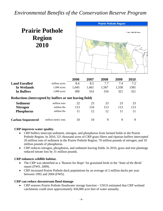## **Prairie Pothole Region 2010**



|                                                          |                     | 2006  | 2007  | 2008  | 2009  | 2010 |  |  |  |  |  |
|----------------------------------------------------------|---------------------|-------|-------|-------|-------|------|--|--|--|--|--|
| <b>Land Enrolled</b>                                     | million acres       | 8.4   | 8.5   | 7.7   | 7.4   | 7.2  |  |  |  |  |  |
| In Wetlands                                              | $1.000$ acres       | 1,645 | 1,661 | 1,567 | 1,558 | 1581 |  |  |  |  |  |
| In Buffers                                               | $1.000$ acres       | 309   | 314   | 316   | 321   | 321  |  |  |  |  |  |
| Reductions (intercepted by buffers or not leaving field) |                     |       |       |       |       |      |  |  |  |  |  |
| <b>Sediment</b>                                          | million tons        | 22    | 23    | 23    | 23    | 23   |  |  |  |  |  |
| <b>Nitrogen</b>                                          | million lbs         | 113   | 116   | 113   | 113   | 113  |  |  |  |  |  |
| <b>Phosphorus</b>                                        | million lbs         | 11    | 12    | 12    | 11    | 11   |  |  |  |  |  |
| <b>Carbon Sequestered</b>                                | million metric tons | 10    | 10    | 9     | 9     | 9    |  |  |  |  |  |

#### **CRP improves water quality.**

- CRP buffers intercept sediment, nitrogen, and phosphorus from farmed fields in the Prairie Pothole Region. In 2010, 321 thousand acres of CRP grass filters and riparian buffers intercepted 20 million tons of sediment in the Prairie Pothole Region, 70 million pounds of nitrogen, and 10 million pounds of phosphorus.
- CRP reduces nitrogen, phosphorus, and sediment leaving fields. In 2010, grass and tree plantings reduced nitrate loss by 31 million pounds.

#### **CRP enhances wildlife habitat.**

- The CRP was identified as a 'Reason for Hope' for grassland birds in the '*State of the Birds*' report (FWS, 2009).
- CRP increased Prairie Pothole duck populations by an average of 2 million ducks per year between 1992 and 2004 (FWS).

#### **CRP can reduce downstream flood damage**.

 CRP restores Prairie Pothole floodwater storage function – USGS estimated that CRP wetland catchments could store approximately 458,000 acre-feet of water annually.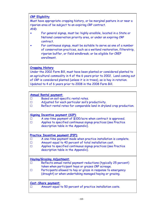**CRP Eligibility**

Must have appropriate cropping history, or be marginal pasture in or near a riparian area of be subject to an expiring CRP contract. AND

- For general signup, must be: highly erodible, located in a State or National conservation priority area, or under an expiring CRP contract.
- For continuous signup, must be suitable to serve as one of a number of conservation practices, such as a wetland restoration, filterstrip, riparian buffer, or field windbreak; or be eligible for CREP enrollment.

#### **Cropping History**

Under the 2002 Farm Bill, must have been planted or considered planted to an agricultural commodity in 4 of the 6 years prior to 2002. Land coming out of CRP is considered planted (unless it is in trees), as is hay in rotation. Updated to 4 of 6 years prior to 2008 in the 2008 Farm Bill.

#### **Annual Rental payment**:

- G Based on soil-specific rental rates.
- G Adjusted for each particular soil's productivity.
- $\Box$  Reflect rental rates for comparable land in dryland crop production.

#### **Signing Incentive payment (SIP)**:

 $\Box$  A one-time payment of \$100/acre when contract is approved.  $\Box$  Applies to specified continuous signup practices (see Practice description table in the Appendix).

#### **Practice Incentive payment (PIP)**:

- $\Box$  A one-time payment made when practice installation is complete.  $\square$  Amount equal to 40 percent of total installation cost.
- G Applies to specified continuous signup practices (see Practice description table in the Appendix).

#### **Haying/Grazing Adjustment**:

- $\Box$  Reflects annual rental payment reductions (typically 25 percent) taken when participant hays or grazes CRP acreage.
- $\Box$  Participants allowed to hay or graze in response to emergency (drought) or when undertaking managed haying or grazing.

#### **Cost-Share payment**:

 $\Box$  Amount equal to 50 percent of practice installation costs.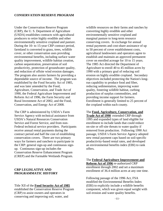Under the Conservation Reserve Program (CRP), the U. S. Department of Agriculture (USDA) establishes contracts with agricultural producers to retire highly erodible and other environmentally sensitive cropland and pasture. During the 10- to 15-year CRP contract period, farmland is converted to grass, trees, wildlife cover, or other conservation uses providing environmental benefits, including surface water quality improvement, wildlife habitat creation, carbon sequestration, preservation of soil productivity, protection of groundwater quality, and reduction of offsite wind erosion damages. The program also assists farmers by providing a dependable source of income. The program was established by the Food Security Act of 1985, and was later amended by the Food, Agriculture, Conservation, and Trade Act of 1990, the Federal Agriculture Improvement and Reform Act of 1996, the Farm Security and Rural Investment Act of 2002, and the Food, Conservation, and Energy Act of 2008.

The CRP is administered by USDA's Farm Service Agency with technical assistance from USDA's Natural Resources Conservation Service and Forest Service, and from non-Federal technical service providers. Participants receive annual rental payments during the contract period and half the cost of establishing conservation covers. There are two primary ways for farmers and ranchers to participate in the CRP: general sign-up and continuous signup. Continuous sign-up includes the Conservation Reserve Enhancement Program (CREP) and the Farmable Wetlands Program.

#### **CRP LEGISLATIVE AND PROGRAMMATIC HISTORY**

Title XII of the **Food Security Act of 1985**

established the Conservation Reserve Program (CRP) to assist owners and operators in conserving and improving soil, water, and

wildlife resources on their farms and ranches by converting highly erodible and other environmentally sensitive cropland and marginal pasture to long-term resource conserving covers. In exchange for annual rental payments and cost-share assistance of up to 50 percent of cover establishment costs, agricultural landowners and operators agree to establish and maintain an approved permanent cover on enrolled acreage for 10 to 15 years. The 1985 Act directed the Department of Agriculture to enroll 40 to 45 million acres by 1990 with a primary goal of reducing soil erosion on highly erodible cropland. Secondary objectives included protecting the Nation's longrun capability to produce food and fiber, reducing sedimentation, improving water quality, fostering wildlife habitat, curbing production of surplus commodities, and providing income support for farmers. Enrollment is generally limited to 25 percent of the cropland within each county.

The **Food, Agriculture, Conservation, and Trade Act of 1990** extended CRP through 1995 and expanded types of land eligible for enrollment to include lands that could reduce on-site or off-site threats to water quality if removed from production. Following 1990 Act passage, USDA's Farm Service Agency adopted new rental payment caps based on soil-specific productivity-based rental rates, and developed an environmental benefits index (EBI) to rank offers.

The **Federal Agriculture Improvement and Reform Act of 1996** re-authorized CRP enrollment through 2002 and set a maximum enrollment of 36.4 million acres at any one time.

Following passage of the 1996 Act, FSA modified the Environmental Benefits Index (EBI) to explicitly include a wildlife benefits component, which was given equal weight with soil erosion and water quality benefits.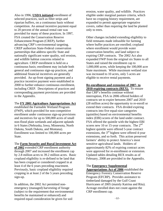Also in 1996, **USDA initiated** enrollment of selected practices, such as filter strips and riparian buffers, on a continuous basis without competition. An annual incentive payment equal to 20 percent of the annual rental rate was provided for many of these practices. In 1997, FSA created the Conservation Reserve Enhancement Program (CREP), further advancing CRP's environmental targeting. CREP authorizes State-Federal conservation partnerships that address specific State and nationally significant water quality, soil erosion, and wildlife habitat concerns related to agriculture. CREP enrollment is held on a continuous basis; enrollment may include both general and continuous sign-up practices, and additional financial incentives are generally provided. An up-front signing payment and a practice incentive payment were established in 2000 to further enhance continuous enrollment, including CREP. Descriptions of practices and corresponding payment provisions are provided in the Appendix.

#### The **FY 2001 Agriculture Appropriations Act**

established the Farmable Wetland Program (FWP), which provided for non-competitive enrollment under continuous sign-up provisions and incentives for up to 500,000 acres of small non-flood plain wetlands and adjacent uplands in 6 States (Nebraska, Iowa, Minnesota, North Dakota, South Dakota, and Montana). Enrollment was limited to 100,000 acres per State.

#### The **Farm Security and Rural Investment Act**

**of 2002** extended CRP enrollment authority through 2007 and increased the enrollment cap by 2.8 million acres to 39.2 million acres. Basic cropland eligibility is re-defined to be land that has been cropped or considered cropped in at least 4 of the 6 years preceding enactment. Previously, basic cropland eligibility required cropping in at least 2 of the 5 years preceding sign-up.

In addition, the 2002 Act permitted nonemergency (managed) harvesting of forage (subject to the requirement that environmental benefits be maintained or enhanced) and required equal consideration be given for soil

erosion, water quality, and wildlife. Practices eligible under marginal pasture criteria, which have no cropping history requirement, are expanded to permit appropriate vegetative covers, rather than requiring the land be planted only to trees.

Other changes included extending eligibility to field remnants made infeasible for farming where buffer practices are enrolled; cropland where enrollment would provide water conservation benefits; and land subject to expiring CRP contracts. The 2002 Act also expanded FWP from the original six States to all States and raised the enrollment cap to 1,000,000 acres, while keeping the 100,000 acre State maximum. While maximum wetland size was increased to 10 acres, only 5 acres are eligible to receive rental payments.

**Re-enrollment and extension of 2007- to 2010-expiring contracts (REX).** To ensure that CRP's benefits continue without interruption, FSA in 2006 offered holders of contracts set to expire between 2007 and 2010 (28 million acres) the opportunity to re-enroll or extend their contracts. FSA divided expiring contracts into five equal-size categories (quintiles) based on environmental benefits index (EBI) scores of the land under contract. FSA offered the quintile with the highest EBI scores new 10 or 15-year contracts. The  $2<sup>nd</sup>$ highest quintile were offered 5-year contract extensions, the  $3<sup>rd</sup>$  highest were offered 4-year extensions, and so forth. This action preserved farmers' ability to protect America's most sensitive agricultural lands. Holders of approximately 82% of expiring contract acres were approved for re-enrollment or extension. Updated tables detailing REX results as of February, 2008 are provided in the Appendix.

#### The **Emergency Supplemental**

**Appropriations Act of 2006** established the Emergency Forestry Conservation Reserve Program (EFCRP). Provides assistance to timberland damaged by the Gulf Coast Hurricanes of 2005 (mainly Katrina and Rita). Acreage enrolled does not count against the CRP enrollment cap.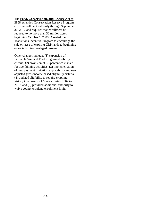#### The **Food, Conservation, and Energy Act of**

**2008** extended Conservation Reserve Program (CRP) enrollment authority through September 30, 2012 and requires that enrollment be reduced to no more than 32 million acres beginning October 1, 2009. Created the Transitions Incentive Program to encourage the sale or lease of expiring CRP lands to beginning or socially disadvantaged farmers.

Other changes include: (1) expansion of Farmable Wetland Pilot Program eligibility criteria; (2) provision of 50-percent cost-share for tree thinning activities; (3) implementation of new payment limitation applicability and new adjusted gross income based eligibility criteria, (4) updated eligibility to require cropping history in at least 4 of 6 years during 2002 to 2007, and (5) provided additional authority to waive county cropland enrollment limit.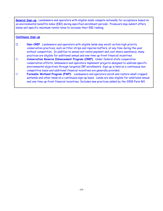**General Sign-up**. Landowners and operators with eligible lands compete nationally for acceptance based on an environmental benefits index (EBI) during specified enrollment periods. Producers may submit offers below soil-specific maximum rental rates to increase their EBI ranking.

#### **Continuous Sign-up**

- G **Non-CREP**. Landowners and operators with eligible lands may enroll certain high priority conservation practices, such as filter strips and riparian buffers, at any time during the year without competition. In addition to annual soil rental payment and cost-share assistance, many practices are eligible for additional annual and one-time up-front financial incentives.
- **Conservation Reserve Enhancement Program (CREP)**. Under federal-state cooperative conservation efforts, landowners and operators implement projects designed to address specific environmental objectives through targeted CRP enrollments. Sign-up is held on a continuous noncompetitive basis and additional financial incentives are generally provided.
- G **Farmable Wetland Program (FWP).** Landowners and operators enroll and restore small cropped wetlands and other lands on a continuous sign-up basis. Lands are also eligible for additional annual and one-time up-front financial incentives. Includes new practices added by the 2008 Farm Bill.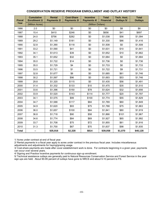#### **CONSERVATION RESERVE PROGRAM ENROLLMENT AND OUTLAY HISTORY**

| <b>Fiscal</b> | <b>Cumulative</b><br><b>Enrollment 1/</b> | <b>Rental</b><br><b>Payments 2/</b> | <b>Cost-Share</b><br><b>Payments 3/</b> | <b>Incentive</b><br>Payments 4/ | <b>Total</b><br><b>Financial</b> | Tech. Asst.<br><b>Outlays 5/</b> | <b>Total</b><br><b>Outlays</b> |  |  |  |
|---------------|-------------------------------------------|-------------------------------------|-----------------------------------------|---------------------------------|----------------------------------|----------------------------------|--------------------------------|--|--|--|
| Year          | (Million Acres)                           | (Million Dollars)                   |                                         |                                 |                                  |                                  |                                |  |  |  |
| 1986          | 2.0                                       | \$0                                 | \$0                                     | \$0                             | \$0                              | \$8                              | \$8                            |  |  |  |
| 1987          | 15.4                                      | \$410                               | \$246                                   | \$0                             | \$656                            | \$41                             | \$697                          |  |  |  |
| 1988          | 24.0                                      | \$756                               | \$282                                   | \$0                             | \$1,038                          | \$56                             | \$1,094                        |  |  |  |
| 1989          | 29.2                                      | \$1,149                             | \$181                                   | \$0                             | \$1,330                          | \$86                             | \$1,416                        |  |  |  |
| 1990          | 32.8                                      | \$1,390                             | \$118                                   | \$0                             | \$1,508                          | \$0                              | \$1,508                        |  |  |  |
| 1991          | 33.2                                      | \$1,590                             | \$41                                    | \$0                             | \$1,631                          | \$10                             | \$1,641                        |  |  |  |
| 1992          | 34.1                                      | \$1,613                             | \$39                                    | \$0                             | \$1,652                          | \$10                             | \$1,662                        |  |  |  |
| 1993          | 35.1                                      | \$1,652                             | \$32                                    | \$0                             | \$1,684                          | \$0                              | \$1,684                        |  |  |  |
| 1994          | 35.0                                      | \$1,722                             | \$14                                    | \$0                             | \$1,736                          | \$0                              | \$1,736                        |  |  |  |
| 1995          | 35.0                                      | \$1,729                             | \$4                                     | \$0                             | \$1,733                          | \$0                              | \$1,733                        |  |  |  |
| 1996          | 33.5                                      | \$1,721                             | \$1                                     | \$0                             | \$1,722                          | \$9                              | \$1,731                        |  |  |  |
| 1997          | 32.8                                      | \$1,677                             | \$8                                     | \$0                             | \$1,685                          | \$61                             | \$1,746                        |  |  |  |
| 1998          | 30.2                                      | \$1,597                             | \$96                                    | \$0                             | \$1,693                          | \$53                             | \$1,746                        |  |  |  |
| 1999          | 29.8                                      | \$1,320                             | \$115                                   | \$0                             | \$1,435                          | \$56                             | \$1,491                        |  |  |  |
| 2000          | 31.4                                      | \$1,332                             | \$133                                   | \$10                            | \$1,475                          | \$35                             | \$1,510                        |  |  |  |
| 2001          | 33.6                                      | \$1,396                             | \$150                                   | \$78                            | \$1,624                          | \$32                             | \$1,656                        |  |  |  |
| 2002          | 33.9                                      | \$1,520                             | \$143                                   | \$114                           | \$1,777                          | \$20                             | \$1,797                        |  |  |  |
| 2003          | 34.1                                      | \$1,575                             | \$99                                    | \$100                           | \$1,774                          | \$55                             | \$1,829                        |  |  |  |
| 2004          | 34.7                                      | \$1,588                             | \$117                                   | \$84                            | \$1,789                          | \$60                             | \$1,849                        |  |  |  |
| 2005          | 34.9                                      | \$1,620                             | \$93                                    | \$75                            | \$1,788                          | \$75                             | \$1,863                        |  |  |  |
| 2006          | 36.0                                      | \$1,657                             | \$100                                   | \$84                            | \$1,841                          | \$80                             | \$1,919                        |  |  |  |
| 2007          | 36.8                                      | \$1,718                             | \$90                                    | \$58                            | \$1,866                          | \$101                            | \$1,967                        |  |  |  |
| 2008          | 34.6                                      | \$1,774                             | \$84                                    | \$69                            | \$1,927                          | \$65                             | \$1,992                        |  |  |  |
| 2009          | 33.7                                      | \$1,708                             | \$75                                    | \$72                            | \$1,855                          | \$61                             | \$1,916                        |  |  |  |
| 2010          | 31.3                                      | \$1,700                             | \$67                                    | \$70                            | \$1,837                          | \$98                             | \$1,935                        |  |  |  |
| <b>Total</b>  | ⊷                                         | \$35,916                            | \$2,328                                 | \$814                           | \$39,058                         | \$1,070                          | \$40,128                       |  |  |  |

1/ Acres under contract at end of fiscal year.

2/ Rental payments in a fiscal year apply to acres under contract in the previous fiscal year. Includes miscellaneous

adjustments and adjustments for haying/grazing usage.

3/ Cost-share payments are made after cover establishment work is done. For contracts beginning in a given year, payments can occur over several years.

4/ Signing and Practice Incentive payments for continuous sign-up enrollment.

5/ Technical assistance outlays are generally paid to Natural Resources Conservation Service and Forest Service in the year sign-ups are held. About 90-95 percent of outlays have gone to NRCS and about 5-10 percent to FS.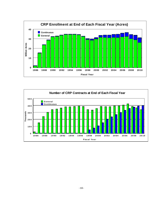

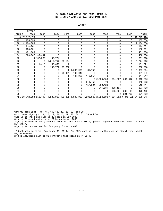#### FY 2010 CUMULATIVE CRP ENROLLMENT 1/ BY SIGN-UP AND INITIAL CONTRACT YEAR

|        | <b>BEFORE</b>          |           |                   |         |                |         |                |         |             |                                                                                |
|--------|------------------------|-----------|-------------------|---------|----------------|---------|----------------|---------|-------------|--------------------------------------------------------------------------------|
| SIGNUP | 2003                   | 2003      | 2004              | 2005    | 2006           | 2007    | 2008           | 2009    | 2010        | <b>TOTAL</b>                                                                   |
|        | >19 17,217,176         | 0         | 0                 | 0       | 0              | 0       | 0              | 0       | 0           | 17, 217, 176                                                                   |
| 19     | 155,350                | 0         | 0                 | 0       | 0              | 0       | 0              | 0       | 0           | 155,350                                                                        |
| 20     | 2,194,638              | 0         | 0                 | 0       | 0              | 0       | 0              | 0       | 0           | 2,194,638                                                                      |
| 21     | 114,261                | 0         | 0                 | 0       | 0              | 0       | 0              | 0       | 0           | 114,261                                                                        |
| 22     | 198,591                | 0         | 0                 | 0       | 0              | 0       | 0              | 0       | 0           | 198,591                                                                        |
| 23     | 451,906                | 0         | 0                 | 0       | 0              | 0       | 0              | 0       | 0           | 451,906                                                                        |
| 24     | 280,867 149,401        |           | 0                 | 0       | 0              | 0       | 0              | 0       | 0           | 430,268                                                                        |
| 25     |                        | 0.197,928 | 53,774            | 0       | $\Omega$       | 0       | $\Omega$       | 0       | 0           | 251,703                                                                        |
| 26     | 0                      | 0         | 1,612,757 162,144 |         | 0              | 0       | 0              | 0       | 0           | ,774,902                                                                       |
| 27     | 0                      | 11,418    | 169,652           | 0       | 0              | 0       | 0              | 0       | $\Omega$    | 181,071                                                                        |
| 28     | 0                      | 0         | 150,777           | 99,256  | 0              | 0       | 0              | 0       | 0           | 250,033                                                                        |
| 29     | 0                      | 0         | 0                 |         | 0, 1, 005, 925 | 61,758  | 0              | 0       | 0           | ,067,684                                                                       |
| 30     | $\mathbf 0$            | 0         | $\Omega$          | 196,801 | 195,040        | 0       | 0              | 0       | $\mathbf 0$ | 391,840                                                                        |
| 31     | 0                      | 0         | 0                 | 0       | 197,960        | 146,057 | 0              | 0       | 0           | 344,017                                                                        |
| 32     | $\Omega$               | 0         | 0                 | 0       | 0              |         | 0, 2, 350, 133 | 884,807 | 584,697     | 3,819,636                                                                      |
| 33     | 0                      | 0         | 0                 | 0       | 0              | 843,453 | 78             | 0       | 0           | 843,532                                                                        |
| 35     | 0                      | 0         | 0                 | 0       | 0              | 157,594 | 362,120        | 0       | $\mathbf 0$ | 519,714                                                                        |
| 36     | 0                      | 0         | 0                 | 0       | 0              | 0       | 214,561        | 183,195 | 0           | 397,756                                                                        |
| 37     | 0                      | 0         | 0                 | 0       | 0              | 0       | 0              | 233,301 | 239,139     | 472,439                                                                        |
| 38     | 0                      | 0         | $\mathbf 0$       | 0       | $\Omega$       | 0       | 0              | 0       | 221,726     | 221,726                                                                        |
|        | ALL 20,612,790 358,748 |           |                   |         |                |         |                |         |             | 1,986,960 458,202 1,398,925 1,208,863 2,926,892 1,301,302 1,045,562 31,298,245 |

#### ACRES

General sign-ups: 1-13, 15, 16, 18, 20, 26, 29, and 33.

Continuous sign-ups: 14, 17, 19, 21-25, 27, 28, 30, 31, 35 and 36.

Sign-up 21 ended and sign-up 22 began in May 2000.

Sign-up 25 ended and sign-up 27 began in May 2003.

Sign-up 32 denotes early re-enrollment of 2007-2008 expiring general sign-up contracts under the 2006 REX offer.

Sign-up 34 is reserved for Emergency Forestry CRP.

1/ Contracts in effect September 30, 2010. For CRP, contract year is the same as fiscal year, which begins October 1. 2/ Not including sign-up 38 contracts that begin in FY 2011.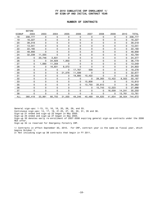#### FY 2010 CUMULATIVE CRP ENROLLMENT 1/ BY SIGN-UP AND INITIAL CONTRACT YEAR

|               | <b>BEFORE</b> |        |          |             |          |             |                |        |             |              |
|---------------|---------------|--------|----------|-------------|----------|-------------|----------------|--------|-------------|--------------|
| <b>SIGNUP</b> | 2003          | 2003   | 2004     | 2005        | 2006     | 2007        | 2008           | 2009   | 2010        | <b>TOTAL</b> |
| 18            | 208,777       | 0      | 0        | 0           | 0        | 0           | 0              | 0      | 0           | 208,777      |
| 19            | 16,227        | 0      | $\Omega$ | 0           | 0        | 0           | 0              | 0      | 0           | 16,227       |
| 20            | 39,018        | 0      | 0        | 0           | 0        | $\mathbf 0$ | 0              | 0      | $\mathbf 0$ | 39,018       |
| 21            | 13,041        | 0      | 0        | 0           | 0        | $\mathbf 0$ | 0              | 0      | 0           | 13,041       |
| 22            | 22,160        | 0      | $\Omega$ | 0           | $\Omega$ | $\mathbf 0$ | $\Omega$       | 0      | 0           | 22,160       |
| 23            | 48,956        | 0      | 0        | 0           | 0        | 0           | 0              | 0      | 0           | 48,956       |
| 24            | 32,239        | 11,555 | 0        | 0           | 0        | 0           | 0              | 0      | 0           | 43,794       |
| 25            | 0             | 20,746 | 3,631    | $\mathbf 0$ | 0        | $\mathbf 0$ | 0              | 0      | 0           | 24,377       |
| 26            | 0             | 0      | 34,929   | 1,850       | 0        | 0           | 0              | 0      | 0           | 36,779       |
| 27            | 0             | 1,690  | 11,359   | 0           | 0        | 0           | 0              | 0      | 0           | 13,049       |
| 28            | 0             | 0      | 16,831   | 8,072       | 0        | 0           | 0              | 0      | 0           | 24,903       |
| 29            | 0             | 0      | 0        | 0           | 17,767   | 509         | 0              | 0      | 0           | 18,276       |
| 30            | 0             | 0      | $\Omega$ | 21,078      | 11,599   | 0           | 0              | 0      | 0           | 32,677       |
| 31            | $\Omega$      | 0      | $\Omega$ | 0           | 19,880   | 10,422      | 0              | 0      | 0           | 30,302       |
| 32            | $\Omega$      | 0      | $\Omega$ | 0           | 0        | 0           | 28,263         | 13,422 | 8,502       | 50,187       |
| 33            | 0             | 0      | 0        | 0           | 0        | 15,808      | $\overline{c}$ | 0      | 0           | 15,810       |
| 35            | 0             | 0      | 0        | 0           | $\Omega$ | 13,750      | 20,612         | 0      | 0           | 34,362       |
| 36            | 0             | 0      | 0        | 0           | 0        | 0           | 15,743         | 12,223 | 0           | 27,966       |
| 37            | 0             | 0      | 0        | 0           | 0        | 0           | 0              | 16,009 | 14,241      | 30,250       |
| 38            | 0             | 0      | 0        | 0           | 0        | 0           | 0              | 0      | 13,761      | 13,761       |
| <b>ALL</b>    | 380,418       | 33,991 | 66,750   | 31,000      | 49,246   | 40,489      | 64,620         | 41,654 | 36,504      | 744,672      |

#### NUMBER OF CONTRACTS

General sign-ups: 1-13, 15, 16, 18, 20, 26, 29, and 33.

Continuous sign-ups: 14, 17, 19, 21-25, 27, 28, 30, 31, 35 and 36.

Sign-up 21 ended and sign-up 22 began in May 2000.

Sign-up 25 ended and sign-up 27 began in May 2003.

Sign-up 32 denotes early re-enrollment of 2007-2008 expiring general sign-up contracts under the 2006 REX offer.

Sign-up 34 is reserved for Emergency Forestry CRP.

1/ Contracts in effect September 30, 2010. For CRP, contract year is the same as fiscal year, which begins October 1.

2/ Not including sign-up 38 contracts that begin in FY 2011.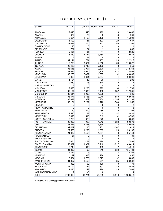|                                           |                | CRP OUTLAYS, FY 2010 (\$1,000) |                         |                       |                |
|-------------------------------------------|----------------|--------------------------------|-------------------------|-----------------------|----------------|
|                                           |                |                                |                         |                       |                |
| <b>STATE</b>                              | <b>RENTAL</b>  | <b>COVER</b>                   | <b>INCENTIVES</b>       | H/G1/                 | <b>TOTAL</b>   |
|                                           |                |                                |                         |                       |                |
| ALABAMA                                   | 19,443         | 540                            | 479                     | 0                     | 20,462         |
| <b>ALASKA</b>                             | 922            | 72                             | 0                       | $-3$                  | 991            |
| <b>ARKANSAS</b>                           | 12,604         | 1,166                          | 2,120                   | 0                     | 15,891         |
| <b>CALIFORNIA</b>                         | 4,402          | 141                            | 123                     | -29                   | 4,637          |
| <b>COLORADO</b>                           | 77,013         | 300                            | 143                     | $-155$                | 77,301         |
| <b>CONNECTICUT</b>                        | 13             | 0                              | 0                       | 0                     | 13             |
| <b>DELAWARE</b>                           | 782            | 24                             | 1                       | 0                     | 807            |
| <b>FLORIDA</b>                            | 2,481          | 31                             | 14                      | 0                     | 2,526          |
| <b>GEORGIA</b>                            | 13,739         | 3,357                          | 3,450                   | 0                     | 20,547         |
| <b>HAWAII</b>                             | 2              | 11                             | 4                       | 0                     | 17             |
| <b>IDAHO</b>                              | 31,141         | 734                            | 463                     | $-23$                 | 32,315         |
| <b>ILLINOIS</b>                           | 110,200        | 3,874                          | 4,312                   | $-63$                 | 118,322        |
| <b>INDIANA</b>                            | 28,485         | 8,743                          | 7,139                   | -8                    | 44,359         |
| <b>IOWA</b>                               | 193,616        | 10,097                         | 9,370                   | $-715$                | 212,368        |
| <b>KANSAS</b>                             | 121,677        | 1,090                          | 1,114                   | $-477$                | 123,404        |
| <b>KENTUCKY</b>                           | 39,253         | 2,482                          | 1,905                   | $-1$                  | 43,639         |
| <b>LOUISIANA</b>                          | 16,050         | 1,661                          | 2,384                   | 1                     | 20,096         |
| <b>MAINE</b>                              | 1,124          | 43                             | 36                      | $-1$                  | 1,202          |
| <b>MARYLAND</b>                           | 10,069         | 708                            | 540                     | 0                     | 11,317         |
| <b>MASSACHUSETTS</b>                      | 2              | 0                              | 0                       | 0                     | 2              |
| <b>MICHIGAN</b>                           | 19,625         | 1,206                          | 972                     | $-4$                  | 21,799         |
| <b>MINNESOTA</b>                          | 107,194        | 2,609                          | 3,490                   | $-357$                | 112,935        |
| <b>MISSISSIPPI</b>                        | 38,644         | 1,098                          | 1,595                   | $-1$                  | 41,336         |
| <b>MISSOURI</b>                           | 98,471         | 2,756                          | 2,046                   | $-589$                | 102,684        |
| <b>MONTANA</b>                            | 103,697        | 359                            | 439                     | $-2,295$              | 102,199        |
| <b>NEBRASKA</b>                           | 68,161         | 2,232                          | 1,726                   | $-764$                | 71,356         |
| <b>NEVADA</b>                             | 2              | 0                              | 0                       | 0                     | 2              |
| <b>NEW HAMPSHIRE</b>                      | 3              | 0                              | 0                       | 0                     | 3              |
| <b>NEW JERSEY</b>                         | 140            | 299                            | 265                     | 0                     | 704            |
| <b>NEW MEXICO</b>                         | 18,510         | 19                             | $-5$                    | $-37$                 | 18,486         |
| <b>NEW YORK</b>                           | 3,673          | 516                            | 519                     | $-1$                  | 4,706          |
| NORTH CAROLINA                            | 8,256          | 678                            | 373                     | 0                     | 9,308          |
| NORTH DAKOTA                              | 95,992         | 927                            | 4,942                   | $-1,983$              | 99,878         |
| OHIO                                      | 38,243         | 6,368                          | 5,335                   | $-13$                 | 49,933         |
| <b>OKLAHOMA</b>                           | 31,439         | 220                            | 162                     | $-207$                | 31,614         |
| <b>OREGON</b>                             | 27,523         | 1,299                          | 1,393                   | -20                   | 30,195         |
| <b>PENNSYLVANIA</b>                       | 21,982         | 2,455                          | 1,307                   | 0                     | 25,744         |
| PUERTO RICO                               | 81             | $\overline{\text{o}}$          | $\overline{\textbf{0}}$ | $\overline{\text{o}}$ | 81             |
| RHODE ISLAND                              | $\overline{2}$ | 0                              | 0                       | 0                     | $\overline{2}$ |
| SOUTH CAROLINA                            | 6,654          | 457                            | 488                     | 0                     | 7,599          |
| <b>SOUTH DAKOTA</b>                       | 55,692         | 1,922                          | 6,716                   | $-917$                | 63,414         |
| <b>TENNESSEE</b>                          | 13,743         | 695                            | 488                     | $-7$                  | 14,919         |
| <b>TEXAS</b>                              | 134,833        | 493                            | 746                     | $-638$                | 135,434        |
| <b>UTAH</b>                               | 5,777          | 6                              | 1                       | -18                   | 5,766          |
| <b>VERMONT</b>                            | 229            | 338                            | 288                     | 0                     | 855            |
| <b>VIRGINIA</b>                           | 3,584          | 1,729                          | 1,527                   | $-2$                  | 6,838          |
| <b>WASHINGTON</b>                         | 81,857         | 1,459                          | 751                     | $-85$                 | 83,982         |
| <b>WEST VIRGINIA</b>                      | 362            | 409                            | 400                     | 0                     | 1,171          |
| WISCONSIN                                 | 34,197         | 854                            | 591                     | $-89$                 | 35,553         |
| <b>WYOMING</b>                            | 7,485          | 248                            | 184                     | $-15$                 | 7,902          |
| NOT ASSIGNED/MISC.                        | 7              | $-3$                           | 0                       |                       | 4              |
| Total                                     | 1,709,079      | 66,721                         | 70,335                  | $-9,518$              | 1,836,618      |
|                                           |                |                                |                         |                       |                |
| 1/ Haying and grazing payment reductions. |                |                                |                         |                       |                |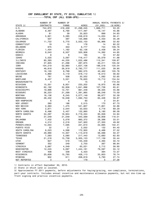#### CRP ENROLLMENT BY STATE, FY 2010, CUMULATIVE 1/ -----------TOTAL CRP (ALL SIGN-UPS)---------

|                      | NUMBER OF        | NUMBER OF    |                    | ANNUAL RENTAL PAYMENTS 3/ |          |
|----------------------|------------------|--------------|--------------------|---------------------------|----------|
| STATE 2/             | <b>CONTRACTS</b> | <b>FARMS</b> | <b>ACRES</b>       | ( \$1,000)                | (S/ACRE) |
| U.S.                 | 744,672          | 416,459      | 31,298,245         | 1,666,711                 | 53.25    |
| ALABAMA              | 9,487            | 6,790        | 417,497            | 19,147                    | 45.86    |
| <b>ALASKA</b>        | 61               | 39           | 25,823             | 899                       | 34.83    |
| ARKANSAS             | 5,921            | 3,285        | 248,619            | 14,024                    | 56.41    |
| CALIFORNIA           | 507              | 397          | 125,668            | 4,433                     | 35.28    |
| COLORADO             | 11,722           | 5,770        | 2,022,103          | 65,966                    | 32.62    |
| CONNECTICUT          | 19               | 15           | 176                | 14                        | 82.22    |
| DELAWARE             | 675              | 353          | 6,777              | 744                       | 109.76   |
| FLORIDA              | 1,434            | 1,162        | 62,126             | 2,438                     | 39.24    |
| GEORGIA              | 9,043            | 6,507        | 320,906            | 14,392                    | 44.85    |
| HAWAII               | 8                | 8            | 165                | 10                        | 57.82    |
| <b>IDAHO</b>         | 5,520            | 3,097        | 716,417            | 30,079                    | 41.98    |
| ILLINOIS             | 80,393           | 44,235       | 1,022,486          | 112,341                   | 109.87   |
| INDIANA              | 37,925           | 21,298       | 287,675            | 30,211                    | 105.02   |
| IOWA                 | 104,219          | 52,860       | 1,637,108          | 196,518                   | 120.04   |
| <b>KANSAS</b>        | 46,818           | 26,919       | 2,782,777          | 111,025                   | 39.90    |
| <b>KENTUCKY</b>      | 18,100           | 9,799        | 382,575            | 40,462                    | 105.76   |
| LOUISIANA            | 4,860            | 3,119        | 318,112            | 18,013                    | 56.62    |
| MAINE                | 761              | 508          | 20,552             | 1,082                     | 52.65    |
| MARYLAND             | 6,457            | 3,521        | 79,620             | 10,712                    | 134.54   |
| <b>MASSACHUSETTS</b> | 4                | 4            | 15                 | 3                         | 172.53   |
| MICHIGAN             | 15,351           | 8,831        | 233,202            | 19,975                    | 85.66    |
| MINNESOTA            | 62,192           | 32,956       | 1,641,996          | 107,738                   | 65.61    |
| MISSISSIPPI          | 19,996           | 12,701       | 861,448            | 39,335                    | 45.66    |
| MISSOURI             | 36,223           | 21,299       | 1,391,865          | 98,248                    | 70.59    |
| MONTANA              | 16,136           | 6,245        | 3,077,149          | 99,677                    | 32.39    |
| NEBRASKA             | 28,432           | 16,038       | 1,092,753          | 65,426                    | 59.87    |
| NEW HAMPSHIRE        | 6                | 6            | 60                 | 3                         | 54.81    |
| NEW JERSEY           | 260              | 186          | 2,515              | 170                       | 67.73    |
| NEW MEXICO           | 2,363            | 1,475        | 541,807            | 17,801                    | 32.86    |
| NEW YORK             | 2,871            | 2,044        | 53,633             | 3,716                     | 69.29    |
| NORTH CAROLINA       | 8,496            | 5,457        | 122,860            | 8,180                     | 66.58    |
| NORTH DAKOTA         | 34,297           | 16,924       | 2,719,334          | 95,009                    | 34.94    |
| OHIO                 | 37,549           | 21,049       | 343,569            | 39,858                    | 116.01   |
| OKLAHOMA             | 7,432            | 5,078        | 860,372            | 28,398                    | 33.01    |
| OREGON               | 4,212            | 2,218        | 547,920            | 27,350                    | 49.92    |
| PENNSYLVANIA         | 12,054           | 7,595        | 221,610            | 22,695                    | 102.41   |
| PUERTO RICO          | 22               | 21           | 2,052              | 132                       | 64.40    |
| SOUTH CAROLINA       | 8,023            | 4,598        | 172,950            | 6,488                     | 37.52    |
| SOUTH DAKOTA         | 29,990           | 14,307       | 1,113,619          | 56,088                    | 50.37    |
| <b>TENNESSEE</b>     | 7,583            | 5,080        | 217,443            | 13,683                    | 62.93    |
| TEXAS                | 21,218           | 15,739       | 3,305,123          | 117,139                   | 35.44    |
| UTAH                 | 827              | 516          | 145,349            | 4,465                     | 30.72    |
| <b>VERMONT</b>       | 352              | 249          | 2,703              | 267                       | 98.84    |
| VIRGINIA             | 5,687            | 4,349        | 63,021             | 3,712                     | 58.90    |
| WASHINGTON           | 12,245           | 5,067        | 1,444,161          | 79,597                    | 55.12    |
| WEST VIRGINIA        | 408              | 338          | 5,423              | 394                       | 72.57    |
| WISCONSIN            | 25,608           | 15,793       |                    |                           | 76.74    |
| WYOMING              | 902              | 611          | 428,113<br>208,819 | 32,853<br>5,793           | 27.74    |
| NOT REPORTED         | 3                | 3            | 179                | 5                         | 27.26    |
|                      |                  |              |                    |                           |          |

1/ Contracts in effect September 30, 2010.

2/ State in which land is located.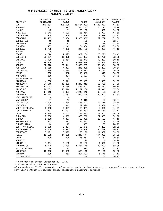#### CRP ENROLLMENT BY STATE, FY 2010, CUMULATIVE 1/

| ----------------GENERAL SIGN-UP------------- |  |
|----------------------------------------------|--|
|----------------------------------------------|--|

|                      | NUMBER OF | NUMBER OF    |              | ANNUAL RENTAL PAYMENTS 3/ |                |
|----------------------|-----------|--------------|--------------|---------------------------|----------------|
| STATE 2/             | CONTRACTS | <b>FARMS</b> | <b>ACRES</b> | ( \$1,000)                | (\$/ACRE)      |
| U.S.                 | 342,584   | 225,595      | 26,664,009   | 1,188,387                 | 44.57          |
| ALABAMA              | 7,941     | 5,823        | 370,732      | 16,791                    | 45.29          |
| ALASKA               | 49        | 31           | 25,177       | 856                       | 34.00          |
| ARKANSAS             | 2,243     | 1,533        | 135,054      | 6,023                     | 44.60          |
| CALIFORNIA           | 324       | 248          | 107,225      | 3,068                     | 28.61          |
| COLORADO             | 10,455    | 5,334        | 1,980,858    | 62,762                    | 31.68          |
| CONNECTICUT          | 10        | 10           | 105          | $\overline{7}$            | 62.64          |
| DELAWARE             | 39        | 33           | 778          | 56                        | 71.50          |
| FLORIDA              | 1,407     | 1,143        | 61,384       | 2,399                     | 39.08          |
| GEORGIA              | 6,705     | 4,909        | 245,193      | 10,099                    | 41.19          |
| HAWAII               | 0         | 0            | 0            | 0                         | $\blacksquare$ |
| <b>IDAHO</b>         | 4,678     | 2,597        | 679,186      | 26,796                    | 39.45          |
| ILLINOIS             | 23,101    | 16,026       | 569,807      | 46,756                    | 82.06          |
| INDIANA              | 7,195     | 5,464        | 165,049      | 13,230                    | 80.16          |
| IOWA                 | 29,306    | 20,752       | 1,039,339    | 103,656                   | 99.73          |
| <b>KANSAS</b>        | 32,976    | 20,941       | 2,659,235    | 103,394                   | 38.88          |
| <b>KENTUCKY</b>      | 5,955     | 4,307        | 215,888      | 15,222                    | 70.51          |
| LOUISIANA            | 2,889     | 2,020        | 209,072      | 9,734                     | 46.56          |
| MAINE                | 558       | 382          | 18,066       | 910                       | 50.38          |
| MARYLAND             | 366       | 304          | 6,637        | 476                       | 71.72          |
| <b>MASSACHUSETTS</b> | 0         | 0            | 0            | 0                         |                |
| MICHIGAN             | 4,752     | 3,811        | 139,493      | 8,689                     | 62.29          |
| MINNESOTA            | 24,510    | 16,299       | 1,212,312    | 65,706                    | 54.20          |
| MISSISSIPPI          | 12,041    | 8,785        | 663,392      | 26,660                    | 40.19          |
| MISSOURI             | 22,703    | 15,516       | 1,222,132    | 82,346                    | 67.38          |
| <b>MONTANA</b>       | 14,815    | 5,827        | 2,945,440    | 95,159                    | 32.31          |
| NEBRASKA             | 14,912    | 9,751        | 920,745      | 49,092                    | 53.32          |
| NEW HAMPSHIRE        | 0         | 0            | 0            | 0                         | ä,             |
| NEW JERSEY           | 67        | 47           | 1,612        | 69                        | 42.64          |
| NEW MEXICO           | 2,299     | 1,436        | 536,527      | 17,578                    | 32.76          |
| NEW YORK             | 1,130     | 843          | 32,022       | 1,332                     | 41.61          |
| NORTH CAROLINA       | 3,368     | 2,621        | 65,671       | 2,936                     | 44.71          |
| NORTH DAKOTA         | 23,331    | 12,637       | 2,451,383    | 81,156                    | 33.11          |
| OHIO                 | 6,598     | 5,103        | 177,823      | 13,600                    | 76.48          |
| <b>OKLAHOMA</b>      | 7,050     | 4,839        | 850,796      | 27,989                    | 32.90          |
| OREGON               | 2,380     | 1,357        | 498,960      | 23,503                    | 47.10          |
| PENNSYLVANIA         | 522       | 437          | 14,853       | 706                       | 47.55          |
| PUERTO RICO          | 14        | 13           | 365          | 29                        | 78.75          |
| SOUTH CAROLINA       | 3,995     | 2,834        | 129,672      | 4,257                     | 32.83          |
| SOUTH DAKOTA         | 9,706     | 5,677        | 805,596      | 32,328                    | 40.13          |
| <b>TENNESSEE</b>     | 5,191     | 3,993        | 190,126      | 11,327                    | 59.58          |
| <b>TEXAS</b>         | 19,685    | 14,638       | 3,247,144    | 114,902                   | 35.39          |
| UTAH                 | 796       | 495          | 145,057      | 4,452                     | 30.69          |
| VERMONT              | 3         | 3            | 94           | 6                         | 58.96          |
| VIRGINIA             | 1,364     | 1,105        | 31,137       | 1,302                     | 41.80          |
| WASHINGTON           | 8,120     | 3,789        | 1,331,175    | 70,399                    | 52.88          |
| WEST VIRGINIA        | 16        | 15           | 612          | 25                        | 41.27          |
| WISCONSIN            | 16,320    | 11,403       | 359,142      | 25,126                    | 69.96          |
| WYOMING              | 698       | 463          | 201,793      | 5,475                     | 27.13          |
| NOT REPORTED         | 1         | 1            | 146          | 2                         | 16.72          |

1/ Contracts in effect September 30, 2010.

2/ State in which land is located.

3/ Approximates FY 2011 payments, before adjustments for haying/grazing, non-compliance, terminations, part-year contracts. Includes annual maintenance allowance payments.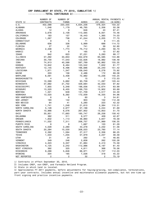#### CRP ENROLLMENT BY STATE, FY 2010, CUMULATIVE 1/ ------------TOTAL CONTINUOUS 2/-------------

|                      | NUMBER OF        | NUMBER OF    |              | ANNUAL RENTAL PAYMENTS 4/ |           |
|----------------------|------------------|--------------|--------------|---------------------------|-----------|
| STATE 3/             | <b>CONTRACTS</b> | <b>FARMS</b> | <b>ACRES</b> | ( \$1,000)                | (\$/ACRE) |
| U.S.                 | 402,088          | 233,555      | 4,634,236    | 478,324                   | 103.22    |
| ALABAMA              | 1,546            | 1,179        | 46,765       | 2,356                     | 50.38     |
| <b>ALASKA</b>        | 12               | 9            | 646          | 43                        | 67.21     |
| <b>ARKANSAS</b>      | 3,678            | 2,108        | 113,565      | 8,001                     | 70.46     |
| CALIFORNIA           | 183              | 157          | 18,443       | 1,365                     | 74.03     |
| COLORADO             | 1,267            | 736          | 41,244       | 3,205                     | 77.70     |
| CONNECTICUT          | 9                | 5            | 71           | 8                         | 111.45    |
| <b>DELAWARE</b>      | 636              | 336          | 5,999        | 688                       | 114.72    |
| FLORIDA              | 27               | 22           | 741          | 39                        | 52.90     |
| GEORGIA              | 2,338            | 1,774        | 75,712       | 4,293                     | 56.70     |
| HAWAII               | 8                | 8            | 165          | 10                        | 57.82     |
| <b>IDAHO</b>         | 842              | 623          | 37,231       | 3,283                     | 88.17     |
| ILLINOIS             | 57,292           | 33,653       | 452,679      | 65,585                    | 144.88    |
| INDIANA              | 30,730           | 17,543       | 122,626      | 16,982                    | 138.48    |
| IOWA                 | 74,913           | 40,588       | 597,769      | 92,862                    | 155.35    |
| <b>KANSAS</b>        | 13,842           | 8,464        | 123,542      | 7,632                     | 61.77     |
| <b>KENTUCKY</b>      | 12,145           | 6,496        | 166,686      | 25,240                    | 151.42    |
| LOUISIANA            | 1,971            | 1,347        | 109,040      | 8,278                     | 75.92     |
| MAINE                | 203              | 156          | 2,486        | 172                       | 69.08     |
| MARYLAND             | 6,091            | 3,408        | 72,982       | 10,236                    | 140.25    |
| <b>MASSACHUSETTS</b> | 4                | 4            | 15           | 3                         | 172.53    |
| MICHIGAN             | 10,599           | 5,662        | 93,709       | 11,287                    | 120.44    |
| MINNESOTA            | 37,682           | 21,702       | 429,684      | 42,033                    | 97.82     |
| MISSISSIPPI          | 7,955            | 5,348        | 198,056      | 12,674                    | 63.99     |
| MISSOURI             | 13,520           | 8,455        | 169,733      | 15,902                    | 93.69     |
| <b>MONTANA</b>       | 1,321            | 648          | 131,709      | 4,517                     | 34.30     |
| NEBRASKA             | 13,520           | 8,382        | 172,009      | 16,335                    | 94.96     |
| NEW HAMPSHIRE        | 6                | 6            | 60           | 3                         | 54.81     |
| NEW JERSEY           | 193              | 142          | 903          | 102                       | 112.48    |
| NEW MEXICO           | 64               | 41           | 5,280        | 223                       | 42.32     |
| NEW YORK             | 1,741            | 1,248        | 21,610       | 2,384                     | 110.31    |
| NORTH CAROLINA       | 5,128            | 2,977        | 57,188       | 5,244                     | 91.69     |
| NORTH DAKOTA         | 10,966           | 6,076        | 267,952      | 13,853                    | 51.70     |
| OHIO                 | 30,951           | 17,663       | 165,747      | 26,258                    | 158.42    |
| <b>OKLAHOMA</b>      | 382              | 311          | 9,577        | 409                       | 42.67     |
| OREGON               | 1,832            | 1,113        | 48,960       | 3,847                     | 78.58     |
| PENNSYLVANIA         | 11,532           | 7,311        | 206,757      | 21,989                    | 106.35    |
| PUERTO RICO          | 8                | 8            | 1,687        | 103                       | 61.29     |
| SOUTH CAROLINA       | 4,028            | 2,280        | 43,278       | 2,232                     | 51.56     |
| SOUTH DAKOTA         | 20,284           | 10,530       | 308,023      | 23,760                    | 77.14     |
| <b>TENNESSEE</b>     | 2,392            | 1,594        | 27,317       | 2,356                     | 86.25     |
| <b>TEXAS</b>         | 1,533            | 1,255        | 57,979       | 2,237                     | 38.58     |
| <b>UTAH</b>          | 31               | 24           | 292          | 14                        | 46.65     |
| <b>VERMONT</b>       | 349              | 246          | 2,608        | 262                       | 100.28    |
| VIRGINIA             | 4,323            | 3,337        | 31,884       | 2,410                     | 75.59     |
| WASHINGTON           | 4,125            | 2,242        | 112,986      | 9,197                     | 81.40     |
| WEST VIRGINIA        | 392              | 325          | 4,811        | 368                       | 76.56     |
| WISCONSIN            | 9,288            | 5,846        | 68,971       | 7,727                     | 112.03    |
| WYOMING              | 204              | 165          | 7,026        | 318                       | 45.22     |
| NOT REPORTED         | 2                | 2            | 32           | 2                         | 75.19     |

1/ Contracts in effect September 30, 2010.

2/ Includes CREP, non-CREP, and Farmable Wetland Program.

3/ State in which land is located.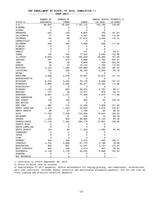#### CRP ENROLLMENT BY STATE, FY 2010, CUMULATIVE 1/

-------------------CREP ONLY----------------

|                      | NUMBER OF        | NUMBER OF    |              | ANNUAL RENTAL PAYMENTS 3/ |                |
|----------------------|------------------|--------------|--------------|---------------------------|----------------|
| STATE 2/             | <b>CONTRACTS</b> | <b>FARMS</b> | <b>ACRES</b> | ( \$1,000)                | (\$/ACRE)      |
| U.S.                 | 68,624           | 45,203       | 1,197,175    | 155,195                   | 129.63         |
| ALABAMA              | 0                | 0            | 0            | 0                         |                |
| ALASKA               | $\mathsf 0$      | 0            | 0            | 0                         |                |
| ARKANSAS             | 232              | 150          | 6,904        | 702                       | 101.67         |
| CALIFORNIA           | 47               | 45           | 4,287        | 500                       | 116.62         |
| COLORADO             | 142              | 98           | 21,816       | 2,403                     | 110.14         |
| CONNECTICUT          | 0                | 0            | 0            | 0                         | $\mathbf{r}$   |
| DELAWARE             | 526              | 297          | 5,598        | 656                       | 117.25         |
| FLORIDA              | 0                | 0            | 0            | 0                         |                |
| GEORGIA              | 0                | 0            | 0            | 0                         |                |
| HAWAII               | $\overline{7}$   | 7            | 147          | 8                         | 53.31          |
| <b>IDAHO</b>         | 155              | 105          | 17,232       | 2,290                     | 132.86         |
| ILLINOIS             | 6,635            | 4,759        | 126,339      | 20,390                    | 161.39         |
| INDIANA              | 791              | 573          | 5,699        | 1,162                     | 203.97         |
| IOWA                 | 65               | 59           | 1,808        | 403                       | 223.00         |
| <b>KANSAS</b>        | 55               | 43           | 10,104       | 1,168                     | 115.60         |
| <b>KENTUCKY</b>      | 3,133            | 1,590        | 100,960      | 18,430                    | 182.55         |
| LOUISIANA            | 723              | 528          | 49,763       | 3,940                     | 79.18          |
| MAINE                | 0                | 0            | 0            | 0                         | $\blacksquare$ |
| MARYLAND             | 5,588            | 3,278        | 70,651       | 10,015                    | 141.75         |
| <b>MASSACHUSETTS</b> | 0                | 0            | 0            | 0                         |                |
| MICHIGAN             | 6,274            | 3,332        | 70,119       | 8,936                     | 127.44         |
| MINNESOTA            | 2,995            | 2,430        | 90,271       | 10,353                    | 114.69         |
| MISSISSIPPI          | 0                | 0            | 0            | 0                         |                |
| MISSOURI             | 1,109            | 803          | 39,275       | 3,787                     | 96.41          |
| <b>MONTANA</b>       | 127              | 49           | 10,757       | 976                       | 90.72          |
| NEBRASKA             | 2,927            | 2,137        | 71,409       | 7,975                     | 111.68         |
| NEW HAMPSHIRE        | 0                | 0            | 0            | 0                         | $\mathbf{r}$   |
| NEW JERSEY           | 148              | 108          | 623          | 84                        | 135.45         |
| NEW MEXICO           | 0                | 0            | 0            | 0                         |                |
| NEW YORK             | 992              | 712          | 12,559       | 1,908                     | 151.90         |
| NORTH CAROLINA       | 2,373            | 1,554        | 32,934       | 3,616                     | 109.81         |
| NORTH DAKOTA         | 88               | 67           | 1,708        | 62                        | 36.45          |
| OHIO                 | 11,402           | 7,449        | 104,909      | 19,534                    | 186.20         |
| <b>OKLAHOMA</b>      | 27               | 27           | 239          | 15                        | 63.76          |
| OREGON               | 1,453            | 932          | 36,982       | 3,123                     | 84.45          |
| PENNSYLVANIA         | 11,103           | 7,025        | 205,775      | 21,937                    | 106.60         |
| PUERTO RICO          | 0                | 0            | 0            | 0                         |                |
| SOUTH CAROLINA       | 0                | 0            | 0            | 0                         | $\blacksquare$ |
| SOUTH DAKOTA         | 124              | 86           | 11,233       | 1,062                     |                |
| <b>TENNESSEE</b>     | 0                | 0            | 0            | 0                         | 94.59          |
|                      |                  |              | 0            | 0                         |                |
| TEXAS<br><b>UTAH</b> | 0<br>$\mathsf 0$ | 0<br>0       | 0            | 0                         |                |
|                      |                  |              |              |                           |                |
| VERMONT              | 306              | 223          | 2,310        | 245                       | 106.11         |
| VIRGINIA             | 3,725            | 2,968        | 27,710       | 2,186                     | 78.89          |
| WASHINGTON           | 852              | 697          | 12,247       | 2,121                     | 173.22         |
| WEST VIRGINIA        | 354              | 294          | 4,574        | 357                       | 78.04          |
| WISCONSIN            | 4,146            | 2,778        | 40,232       | 4,848                     | 120.50         |
| WYOMING              | 0                | 0            | 0            | 0                         |                |
| NOT REPORTED         | 0                | 0            | 0            | 0                         |                |

1/ Contracts in effect September 30, 2010.

2/ State in which land is located.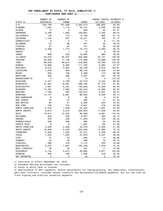#### CRP ENROLLMENT BY STATE, FY 2010, CUMULATIVE 1/ ------------CONTINUOUS NON-CREP 2/----------

|                      | NUMBER OF        | NUMBER OF    |              | ANNUAL RENTAL PAYMENTS 4/ |           |
|----------------------|------------------|--------------|--------------|---------------------------|-----------|
| STATE 3/             | <b>CONTRACTS</b> | <b>FARMS</b> | <b>ACRES</b> | ( \$1,000)                | (\$/ACRE) |
| U.S.                 | 320,190          | 191,008      | 3,205,013    | 296,652                   | 92.56     |
| ALABAMA              | 1,542            | 1,175        | 46,747       | 2,356                     | 50.39     |
| ALASKA               | 12               | 9            | 646          | 43                        | 67.21     |
| ARKANSAS             | 3,446            | 1,993        | 106,661      | 7,300                     | 68.44     |
| CALIFORNIA           | 136              | 113          | 14,156       | 865                       | 61.13     |
| COLORADO             | 1,124            | 647          | 19,271       | 793                       | 41.17     |
| CONNECTICUT          | 9                | 5            | 71           | 8                         | 111.45    |
| DELAWARE             | 110              | 96           | 401          | 32                        | 79.44     |
| FLORIDA              | 27               | 22           | 741          | 39                        | 52.90     |
| GEORGIA              | 2,338            | 1,774        | 75,712       | 4,293                     | 56.70     |
| HAWAII               | 1                | 1            | 19           | 2                         | 93.40     |
| <b>IDAHO</b>         | 686              | 523          | 19,993       | 993                       | 49.65     |
| ILLINOIS             | 50,618           | 30,357       | 325,946      | 45,131                    | 138.46    |
| INDIANA              | 29,846           | 17,139       | 115,969      | 15,688                    | 135.28    |
| IOWA                 | 69,978           | 38,615       | 519,663      | 79,783                    | 153.53    |
| <b>KANSAS</b>        | 13,689           | 8,363        | 111,793      | 6,380                     | 57.07     |
| <b>KENTUCKY</b>      | 9,012            | 4,932        | 65,726       | 6,810                     | 103.61    |
| LOUISIANA            | 1,235            | 833          | 58,153       | 4,239                     | 72.90     |
| MAINE                | 203              | 156          | 2,486        | 172                       | 69.08     |
| MARYLAND             | 502              | 380          | 2,327        | 221                       | 94.79     |
| <b>MASSACHUSETTS</b> | 4                | 4            | 15           | 3                         | 172.53    |
| MICHIGAN             | 4,317            | 2,759        | 23,519       | 2,343                     | 99.62     |
| MINNESOTA            | 31,581           | 19,081       | 296,794      | 27,170                    | 91.55     |
| MISSISSIPPI          | 7,931            | 5,331        | 194,646      | 12,353                    | 63.46     |
| MISSOURI             | 12,407           | 7,805        | 130,243      | 12,092                    | 92.84     |
| <b>MONTANA</b>       | 1,180            | 597          | 120,812      | 3,537                     | 29.27     |
| NEBRASKA             | 10,127           | 6,561        | 96,563       | 8,026                     | 83.12     |
| NEW HAMPSHIRE        | 6                | 6            | 60           | 3                         | 54.81     |
| NEW JERSEY           | 45               | 37           | 280          | 17                        | 61.33     |
| NEW MEXICO           | 64               | 41           | 5,280        | 223                       | 42.32     |
| NEW YORK             | 749              | 575          | 9,051        | 476                       | 52.60     |
| NORTH CAROLINA       | 2,755            | 1,649        | 24,254       | 1,627                     | 67.09     |
| NORTH DAKOTA         | 9,612            | 5,615        | 228,954      | 11,230                    | 49.05     |
| OHIO                 | 19,514           | 12,402       | 60,589       | 6,691                     | 110.43    |
| <b>OKLAHOMA</b>      | 353              | 282          | 9,307        | 392                       | 42.12     |
| OREGON               | 379              | 246          | 11,978       | 724                       | 60.44     |
| PENNSYLVANIA         | 429              | 358          | 982          | 52                        | 53.38     |
| PUERTO RICO          | 8                | 8            | 1,687        | 103                       | 61.29     |
| SOUTH CAROLINA       | 4,028            | 2,280        | 43,278       | 2,232                     | 51.56     |
| SOUTH DAKOTA         | 16,938           | 9,433        | 233,464      | 17,084                    | 73.18     |
| <b>TENNESSEE</b>     | 2,392            | 1,594        | 27,317       | 2,356                     | 86.25     |
| <b>TEXAS</b>         | 1,533            | 1,255        | 57,979       | 2,237                     | 38.58     |
| UTAH                 | 31               | 24           | 292          | 14                        | 46.65     |
| VERMONT              | 43               | 40           | 298          | 16                        | 55.14     |
| VIRGINIA             | 598              | 479          | 4,174        | 224                       | 53.69     |
| WASHINGTON           | 3,273            | 1,601        | 100,739      | 7,076                     | 70.24     |
| WEST VIRGINIA        | 38               | 32           | 237          | 11                        | 47.86     |
| WISCONSIN            | 5,135            | 3,613        | 28,682       | 2,871                     | 100.09    |
| WYOMING              | 204              | 165          | 7,026        | 318                       | 45.22     |
| NOT REPORTED         | 2                | 2            | 32           | $\overline{c}$            | 75.19     |

1/ Contracts in effect September 30, 2010.

2/ Farmable Wetland enrollment not included.

3/ State in which land is located.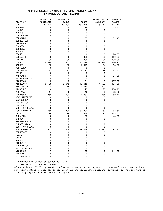#### CRP ENROLLMENT BY STATE, FY 2010, CUMULATIVE 1/ -----------FARMABLE WETLAND PROGRAM---------

|                      | NUMBER OF        | NUMBER OF      |              | ANNUAL RENTAL PAYMENTS 3/ |                         |
|----------------------|------------------|----------------|--------------|---------------------------|-------------------------|
| STATE 2/             | <b>CONTRACTS</b> | <b>FARMS</b>   | <b>ACRES</b> | ( \$1,000)                | (\$/ACRE)               |
| U.S.                 | 13,274           | 10,492         | 232,048      | 26,477                    | 114.10                  |
| ALABAMA              | 4                | 4              | 18           | 1                         | 33.47                   |
| ALASKA               | 0                | 0              | $\mathsf 0$  | $\mathsf 0$               |                         |
| ARKANSAS             | 0                | 0              | 0            | 0                         |                         |
| CALIFORNIA           | 0                | 0              | 0            | 0                         |                         |
| <b>COLORADO</b>      | 1                | 0              | 157          | 8                         | 52.45                   |
| CONNECTICUT          | 0                | 0              | 0            | 0                         |                         |
| DELAWARE             | 0                | 0              | 0            | 0                         |                         |
| FLORIDA              | 0                | 0              | 0            | 0                         |                         |
| GEORGIA              | 0                | 0              | 0            | 0                         |                         |
| HAWAII               | 0                | 0              | 0            | 0                         |                         |
| <b>IDAHO</b>         | 1                | 1              | 6            | 0                         | 78.55                   |
| ILLINOIS             | 39               | 38             | 395          | 63                        | 160.07                  |
| INDIANA              | 93               | 86             | 958          | 131                       | 136.35                  |
| <b>IOWA</b>          | 4,870            | 3,901          | 76,298       | 12,676                    | 166.13                  |
| <b>KANSAS</b>        | 98               | 90             | 1,645        | 84                        | 50.86                   |
| <b>KENTUCKY</b>      | 0                | 0              | 0            | 0                         |                         |
| LOUISIANA            | 13               | 11             | 1,123        | 99                        | $\blacksquare$<br>87.81 |
| MAINE                | 0                | 0              | 0            | 0                         |                         |
|                      |                  |                | 5            |                           | ٠                       |
| MARYLAND             | 1                | 1              |              | 0                         | 97.00                   |
| <b>MASSACHUSETTS</b> | 0                | 0              | 0            | 0                         | $\blacksquare$          |
| MICHIGAN             | 8                | 8              | 71           | 8                         | 107.57                  |
| MINNESOTA            | 3,106            | 2,642          | 42,618       | 4,509                     | 105.80                  |
| MISSISSIPPI          | 24               | 18             | 3,410        | 321                       | 94.21                   |
| MISSOURI             | 4                | 3              | 215          | 23                        | 108.73                  |
| <b>MONTANA</b>       | 14               | 6              | 140          | 5                         | 33.80                   |
| NEBRASKA             | 466              | 402            | 4,037        | 334                       | 82.70                   |
| <b>NEW HAMPSHIRE</b> | 0                | 0              | 0            | 0                         |                         |
| NEW JERSEY           | 0                | 0              | 0            | 0                         |                         |
| NEW MEXICO           | 0                | 0              | 0            | 0                         |                         |
| NEW YORK             | 0                | 0              | 0            | 0                         |                         |
| NORTH CAROLINA       | 0                | 0              | 0            | 0                         |                         |
| NORTH DAKOTA         | 1,266            | 890            | 37,290       | 2,560                     | 68.66                   |
| OHIO                 | 35               | 34             | 249          | 33                        | 132.97                  |
| <b>OKLAHOMA</b>      | 2                | 2              | 30           | 1                         | 44.68                   |
| OREGON               | 0                | 0              | 0            | 0                         |                         |
| PENNSYLVANIA         | 0                | 0              | 0            | 0                         |                         |
| PUERTO RICO          | 0                | 0              | 0            | 0                         |                         |
| SOUTH CAROLINA       | 0                | 0              | 0            | 0                         |                         |
| SOUTH DAKOTA         | 3,222            | 2,348          | 63,326       | 5,613                     | 88.63                   |
| TENNESSEE            | 0                | 0              | 0            | 0                         |                         |
| <b>TEXAS</b>         | 0                | 0              | 0            | 0                         |                         |
| UTAH                 | 0                | 0              | $\Omega$     | 0                         |                         |
| VERMONT              | 0                | 0              | 0            | 0                         |                         |
| VIRGINIA             | 0                | 0              | 0            | 0                         |                         |
| WASHINGTON           | 0                | 0              | $\mathsf 0$  | 0                         |                         |
| <b>WEST VIRGINIA</b> | 0                | 0              | 0            | 0                         |                         |
| WISCONSIN            | 7                | $\overline{7}$ | 57           | 8                         | 141.59                  |
| WYOMING              | 0                | 0              | $\mathsf 0$  | 0                         |                         |
|                      |                  |                |              |                           |                         |
| NOT REPORTED         | 0                | 0              | 0            | 0                         |                         |

1/ Contracts in effect September 30, 2010.

2/ State in which land is located.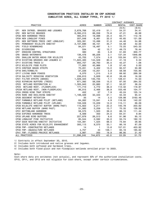#### CONSERVATION PRACTICES INSTALLED ON CRP ACREAGE CUMULATIVE ACRES, ALL SIGNUP TYPES, FY 2010 1/

|                                                      |              |               |              | CONTRACT AVERAGES |            |
|------------------------------------------------------|--------------|---------------|--------------|-------------------|------------|
| PRACTICE                                             | <b>ACRES</b> | <b>NUMBER</b> | <b>ACRES</b> | RENTAL            | COST-SHARE |
|                                                      |              |               |              | (S/A)             | (S/A)      |
| NEW INTROD, GRASSES AND LEGUMES<br>CP <sub>1</sub>   | 2,678,768    | 52,419        | 51.1         | 54.31             | 34.41      |
| CP <sub>2</sub><br>NEW NATIVE GRASSES                | 6,395,215    | 88,058        | 72.6         | 47.21             | 48.99      |
| CP3A NEW HARDWOOD TREES                              | 465,913      | 19,098        | 24.4         | 62.71             | 112.16     |
| CP3A NEW LONGLEAF PINES                              | 207,048      | 6,461         | 32.0         | 45.65             | 121.09     |
| CP <sub>3</sub><br>NEW SOFTWOOD TREES (NOT LONGLEAF) | 325,391      | 10,496        | 31.0         | 44.46             | 54.96      |
| CP4<br>PERMANENT WILDLIFE HABITAT                    | 2,107,696    | 46,151        | 45.7         | 54.58             | 42.00      |
| CP <sub>5</sub><br>FIELD WINDBREAKS                  | 94,571       | 18,497        | 5.1          | 73.25             | 543.33     |
| CP <sub>6</sub><br><b>DIVERSIONS</b>                 | 534          | 42            | 12.7         | 49.73             | 78.44      |
| CP7<br>EROSION CONTROL STRUCTURES                    | 380          | 65            | 5.8          | 51.83             | 300.77     |
| CP <sub>8</sub><br><b>GRASS WATERWAYS</b>            | 136,478      | 66,226        | 2.1          | 137.34            | 1946.68    |
| CP <sub>9</sub><br>SHALLOW WATER AREAS FOR WILDLIFE  | 43,705       | 7,574         | 5.8          | 103.94            | 673.14     |
| CP10 EXISTING GRASSES AND LEGUMES 2/                 | 11,622,483   | 144,529       | 80.4         | 41.16             | 0.34       |
| CP11 EXISTING TREES 3/                               | 950,757      | 26,763        | 35.5         | 42.27             | 1.06       |
| CP12 WILDLIFE FOOD PLOTS                             | 77,800       | 43,986        | 1.8          | 57.45             | 0.00       |
| CP15 CONTOUR GRASS STRIPS                            | 70,201       | 5,402         | 13.0         | 92.57             | 50.99      |
| CP16 SHELTERBELTS                                    | 37,226       | 13,251        | 2.8          | 58.08             | 725.95     |
| <b>CP17 LIVING SNOW FENCES</b>                       | 6,070        | 1,215         | 5.0          | 68.92             | 289.39     |
| CP18 SALINITY REDUCING VEGETATION                    | 239,610      | 5,626         | 42.6         | 38.49             | 16.59      |
| CP21 FILTER STRIPS (GRASS)                           | 1,029,343    | 145,745       | 7.1          | 128.51            | 74.53      |
| CP22 RIPARIAN BUFFERS (TREES)                        | 871,392      | 58,036        | 15.0         | 87.00             | 284.32     |
| CP23 WETLAND RESTORATION 4/                          | 1,305,943    | 22,880        | 57.1         | 50.07             | 36.24      |
| CP23<br>WETLAND REST. (FLOODPLAIN)                   | 171,710      | 4,772         | 36.0         | 112.32            | 118.87     |
| CP23A WETLAND REST. (NON-FLOODPLAIN)                 | 96,015       | 2,466         | 38.9         | 103.49            | 104.77     |
| CP24 CROSS WIND TRAP STRIPS                          | 452          | 57            | 7.9          | 45.24             | 125.14     |
| CP25 RARE AND DECLINING HABITAT                      | 1,199,326    | 32,343        | 37.1         | 55.33             | 95.51      |
| CP26 SEDIMENT RETENTION                              | 35           | 14            | 2.5          | 129.98            | 3162.46    |
| CP27 FARMABLE WETLAND PILOT (WETLAND)                | 64,262       | 13,041        | 4.9          | 116.50            | 142.22     |
| CP28 FARMABLE WETLAND PILOT (UPLAND)                 | 159,028      | 13,229        | 12.0         | 115.11            | 66.09      |
| CP29 WILDLIFE HABITAT BUFFER (MARG PAST)             | 115,922      | 5,211         | 22.2         | 145.78            | 203.62     |
| CP30 WETLAND BUFFER (MARG PAST)                      | 31,060       | 2,259         | 13.7         | 70.35             | 128.06     |
| CP31 BOTTOMLAND HARDWOOD                             | 58,575       | 1,503         | 39.0         | 86.10             | 111.44     |
| CP32 EXPIRED HARDWOOD TREES                          | 8,569        | 350           | 24.5         | 64.31             | 9.84       |
| CP33 UPLAND BIRD BUFFERS                             | 227,879      | 26,513        | 8.6          | 91.96             | 95.10      |
| CP36 LONGLEAF PINE INITIATIVE                        | 85,544       | 2,592         | 33.0         | 55.74             | 182.10     |
| CP37 DUCK NESTING HABITAT INITIATIVE                 | 104,391      | 1,524         | 68.5         | 73.84             | 28.85      |
| CP38 STATE ACRES FOR WILDLIFE ENHANCEMENT            | 300,113      | 9,070         | 33.1         | 86.16             | 87.29      |
| CP39 FWP--CONSTRUCTED WETLANDS                       | 14           | $\mathbf{1}$  | 13.6         | 157.01            | 453.82     |
| CP40 FWP--AQUACULTURE WETLANDS                       | 4,757        | 44            | 108.1        | 93.16             | 185.62     |
| CP41 FWP--FLOODED PRAIRIE WETLANDS                   | 3,987        | 200           | 19.9         | 86.95             | 21.42      |
| ALL PRACTICES                                        | 31,298,245   | 744,672       | 42.0         | 53.29             | 51.75      |

1/ Contracts in effect September 30, 2010.

2/ Includes both introduced and native grasses and legumes.

3/ Includes both softwood and hardwood trees.

4/ Includes both flood-plain and non-floodplain wetlands enrolled prior to 2003.

Note:

Cost-share data are estimates (not actuals), and represent 50% of the authorized installation costs. CP10, CP11, and CP12 are not eligible for cost-share, except under certain circumstances.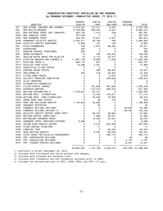#### CONSERVATION PRACTICES INSTALLED ON CRP ACREAGE by PROGRAM CATEGORY--CUMULATIVE ACRES, FY 2010 1/

|                  |                                      | <b>GENERAL</b> | CONTIN.     | CONTIN.     | <b>FARMABLE</b> |              |
|------------------|--------------------------------------|----------------|-------------|-------------|-----------------|--------------|
|                  | PRACTICE                             | SIGN-UP        | CREP        | NON-CREP    | WETLAND         | <b>TOTAL</b> |
| CP1              | NEW INTROD. GRASSES AND LEGUMES      | 2,519,031      | 153,517     | 6,220       | 0               | 2,678,768    |
| CP <sub>2</sub>  | NEW NATIVE GRASSES                   | 6,158,980      | 226,425     | 9,810       | 0               | 6,395,215    |
| CP3              | NEW SOFTWOOD TREES (NOT LONGLEAF)    | 323,743        | 1,410       | 239         | 0               | 325,391      |
| CP3A             | NEW LONGLEAF PINES                   | 207,048        | 0           | 0           | 0               | 207,048      |
| CP3A             | NEW HARDWOOD TREES                   | 449,791        | 13,871      | 2,251       | 0               | 465,913      |
| CP4D             | PERMANENT WILDLIFE HABITAT           | 2,005,517      | 92,738      | 548         | 0               | 2,098,803    |
| CP4B             | WILDLIFE HABITAT CORRIDORS           | 8,606          | 161         | 126         | 0               | 8,893        |
| CP <sub>5</sub>  | FIELD WINDBREAKS                     | 168            | 4,910       | 89,494      | 0               | 94,571       |
| CP <sub>6</sub>  | DIVERSIONS                           | 534            | 0           | 0           | 0               | 534          |
| CP7              | EROSION CONTROL STRUCTURES           | 380            | 0           | 0           | $\mathbf 0$     | 380          |
| CP8              | <b>GRASS WATERWAYS</b>               | 14             | 795         | 135,670     | 0               | 136,478      |
| CP <sub>9</sub>  | SHALLOW WATER AREAS FOR WILDLIFE     | 18             | 3,110       | 40,577      | 0               | 43,705       |
| CP <sub>10</sub> | EXISTING GRASSES AND LEGUMES 2/      | 11,591,753     | 19,695      | 11,036      | 0               | 11,622,483   |
| CP <sub>11</sub> | EXISTING TREES 3/                    | 950,110        | 647         | 0           | 0               | 950,757      |
| CP <sub>12</sub> | WILDLIFE FOOD PLOTS                  | 75,269         | 2,531       | 0           | 0               | 77,800       |
| CP <sub>13</sub> | VEGETATIVE FILTER STRIPS             | 0              | 0           | 0           | 0               | 0            |
| CP <sub>15</sub> | <b>CONTOUR GRASS STRIPS</b>          | 0              | 369         | 69,832      | 0               | 70,201       |
| CP <sub>16</sub> | <b>SHELTERBELTS</b>                  | 204            | 419         | 36,604      | 0               | 37,226       |
| CP <sub>17</sub> | LIVING SNOW FENCES                   | 0              | 0           | 6,070       | 0               | 6,070        |
| CP <sub>18</sub> | SALINITY REDUCING VEGETATION         | 0              | 8           | 239,602     | 0               | 239,610      |
| CP <sub>19</sub> | ALLEY CROPPING                       | 0              | $\mathbf 0$ | 0           | 0               | 0            |
| <b>CP20</b>      | ALTERNATIVE PERENNIALS               | 0              | $\mathbf 0$ | 0           | 0               | 0            |
| CP21             | FILTER STRIPS (GRASS)                | 0              | 181,838     | 847,505     | 0               | 1,029,343    |
| <b>CP22</b>      | RIPARIAN BUFFERS                     | 0              | 212,019     | 659,373     | 0               | 871,392      |
| CP23             | WETLAND RESTORATION 4/               | 1,218,631      | 87,311      | 0           | 0               | 1,305,943    |
| CP <sub>23</sub> | WETLAND REST. (FLOODPLAIN)           | 0              | 12,439      | 159,271     | 0               | 171,710      |
|                  | CP23A WETLAND REST. (NON-FLOODPLAIN) | 0              | 16,056      | 79,960      | 0               | 96,015       |
| CP <sub>24</sub> | CROSS WIND TRAP STRIPS               | 0              | 38          | 415         | 0               | 452          |
| CP25             | RARE AND DECLINING HABITAT           | 1,145,643      | 53,684      | 0           | 0               | 1,199,326    |
| CP <sub>26</sub> | SEDIMENT RETENTION                   | 0              | 35          | 0           | 0               | 35           |
| <b>CP27</b>      | FARMABLE WETLAND (WETLAND)           | 0              | 0           | 0           | 64,262          | 64,262       |
| <b>CP28</b>      | FARMABLE WETLAND (UPLAND) 5/         | 0              | 0           | 0           | 149,542         | 149,542      |
| CP29             | WILDLIFE HABITAT BUFFER (MARG PAST)  | 0              | 86,274      | 29,648      | 0               | 115,922      |
| CP30             | WETLAND BUFFER (MARG PAST)           | $\mathbf 0$    | 1,389       | 29,671      | 0               | 31,060       |
| CP31             | BOTTOMLAND HARDWOOD TREES            | $\mathbf 0$    | 13,538      | 45,037      | 0               | 58,575       |
| CP32             | HARDWOOD TREES (PREVIOUS EXPIRED)    | 8,569          | 0           | 0           | 0               | 8,569        |
| CP33             | UPLAND BIRD HABITAT BUFFER           | 0              | 5,510       | 222,369     | 0               | 227,879      |
| CP34             | FLOOD CONTROL STRUCTURE              | 0              | 71          | 0           | $\mathbf 0$     | 71           |
| CP36             | LONGLEAF PINE                        | 0              | 0           | 85,544      | 0               | 85,544       |
| CP37             | DUCK NESTING HABITAT                 | 0              | 6,361       | 98,030      | 0               | 104,391      |
| <b>CP38</b>      | STATE ACRES FOR WILDLIFE ENHANCEMENT | 0              | 0           | 300,113     | 0               | 300,113      |
| CP39             | FWP--CONSTRUCTED WETLANDS            | 0              | 0           | 0           | 66              | 66           |
| <b>CP40</b>      | FWP--AQUACULTURE WETLANDS            | 0              | 0           | 0           | 4,757           | 4,757        |
| CP41             | FWP--FLOODED PRAIRIE WETLANDS        | $\Omega$       | $\mathbf 0$ | 0           | 13,421          | 13,421       |
|                  |                                      | ==========     | ==========  | =========== | ==========      | ==========   |
|                  |                                      | 26,664,007     | 1,197,168   | 3,205,013   | 232,048         | 31,298,236   |

1/ Contracts in effect September 30, 2010.

2/ Includes both introduced and native grasses and legumes.

3/ Includes both softwood and hardwood trees.

4/ inlcused both floodplain and non-floodplain wetlands prior to 2003.

5/ Includes non-wetland portions of CP27, CP39, CP40, and CP41 (if any).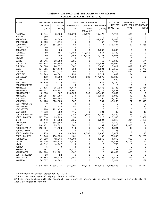| <b>STATE</b>         |                     | NEW GRASS PLANTINGS |                  | NEW TREE PLANTINGS |                  | WILDLIFE                           | WILDLIFE  | FIELD      |
|----------------------|---------------------|---------------------|------------------|--------------------|------------------|------------------------------------|-----------|------------|
|                      | INTROD.             | NATIVE              | <b>SOFTWOODS</b> | LONGLEAF           | <b>HARDWOODS</b> | HABITAT                            | CORRIDORS | WINDBREAKS |
|                      | (CP1)               | (CP2)               | (CP3)            | PINE               | (CP3A)           | $(CP4D)$ 3/                        | (CP4B)    | (CP5)      |
|                      |                     |                     |                  | (CP3A) 2/          |                  |                                    |           |            |
| <b>ALABAMA</b>       | 2,844               | 3,368               | 73,776           | 44,976             | 15,470           | 7,717                              | 523       | 0          |
| ALASKA               | 4,850               | 0                   | 0                | 0                  | 0                | 0                                  | 0         | 0          |
| ARKANSAS             | 2,794               | 4,006               | 7,122            | 0                  | 34,986           | 1,903                              | 702       | 0          |
| CALIFORNIA           | 5,280               | 1,274               | 5                | 0                  | 57               | 726                                | 0         | 0          |
| COLORADO             | 30,844              | 587,604             | 80               | 0                  | 17               | 373,347                            | 162       | 1,468      |
| CONNECTICUT          | 60                  | 34                  | 0                | 0                  | $\mathbf 0$      | 0                                  | 0         | 0          |
| DELAWARE             | 25                  | 23                  | 0                | 0                  | 3,383            | 1,308                              | 0         | 0          |
| FLORIDA              | 80                  | 151                 | 5,189            | 11,352             | 857              | 2,190                              | 0         | 0          |
| GEORGIA              | 59                  | 246                 | 21,462           | 119,032            | 7,288            | 5,041                              | 77        | 0          |
| HAWAII               | 0                   | 0                   | 0                | 0                  | 13               | 0                                  | 0         | 0          |
| <b>IDAHO</b>         | 85,515              | 38,088              | 4,335            | 0                  | 50               | 116,398                            | 21        | 571        |
| ILLINOIS             | 158,838             | 45,685              | 1,016            | 0                  | 50,093           | 122,964                            | 377       | 2,756      |
| INDIANA              | 30,666              | 26,572              | 502              | 0                  | 17,485           | 12,617                             | 419       | 2,356      |
| IOWA                 | 174,865             | 137,173             | 353              | 0                  | 14,591           | 215,555                            | 566       | 6,775      |
| <b>KANSAS</b>        | 11,504              | 797,214             | 90               | 0                  | 469              | 14,210                             | 620       | 1,988      |
| <b>KENTUCKY</b>      | 69,249              | 40,842              | 258              | 0                  | 5,721            | 499                                | 104       | 1.         |
| LOUISIANA            | 179                 | 3,200               | 17,959           | 262                | 117,079          | 33,899                             | 7         | 0          |
| MAINE                | 1,319               | 50                  | 171              | 0                  | $\mathbf{1}$     | 660                                | 0         | 0          |
| MARYLAND             | 10,930              | 3,078               | 551              | 0                  | 624              | 1,755                              | 8         | 0          |
| <b>MASSACHUSETTS</b> | 0                   | 0                   | 0                | 0                  | 0                | 0                                  | 0         | 0          |
| MICHIGAN             | 27,175              | 25,723              | 3,447            | 0                  | 3,476            | 18,483                             | 344       | 2,754      |
| MINNESOTA            | 199,871             | 105,951             | 6,987            | 0                  | 25,313           | 273,489                            | 389       | 9,717      |
| MISSISSIPPI          | 2,998               | 967                 | 118,626          | 340                | 87,450           | 6,537                              | 74        | 0          |
| MISSOURI             | 299,384             | 161,987             | 379              | 0                  | 16,064           | 5,940                              | 119       | 112        |
| MONTANA              | 583,177             | 788,144             | 139              | 0                  | 50               | 29,196                             | 162       | 255        |
| NEBRASKA             | 24,428              | 370,803             | 567              | 0                  | 784              | 42,253                             | 27        | 32,045     |
| NEW HAMPSHIRE        | 0                   | 0                   | 0                | 0                  | 0                | 0                                  | 0         | 0          |
| NEW JERSEY           | 1,061               | 218                 | 51               | 0                  | 49               | 6                                  | 0         | 10         |
| NEW MEXICO           | 1,780               | 161,459             | 0                | 0                  | 0                | 0                                  | 0         | 0          |
| NEW YORK             | 7,378               | 832                 | 415              | 0                  | 721              | 402                                | 37        | 13         |
| NORTH CAROLINA       | 1,349               | 1,195               | 7,286            | 11,557             | 3,222            | 1,809                              | 74        | 23         |
| NORTH DAKOTA         | 297,630             | 65,996              | 59               | 0                  | 318              | 426,580                            | 5         | 5,387      |
| OHIO                 | 20,440              | 64,253              | 1,255            | 0                  | 6,994            | 40,810                             | 204       | 3,485      |
| OKLAHOMA             | 7,676               | 368,353             | 43               | 0                  | 362              | 2,470                              | 17        | 51         |
| OREGON               | 118,431             | 85,892              | 1,801            | 0                  | 61               | 11,026                             | 1,353     | 4          |
| PENNSYLVANIA         | 116,384             | 41,453              | 140              | 0                  | 1,172            | 4,621                              | 48        | 0          |
| PUERTO RICO          | 0                   | 0                   | 0                | 0                  | 39               | 26                                 | 0         | 0          |
| SOUTH CAROLINA       | 139                 | 89                  | 23,840           | 19,530             | 1,690            | 5,479                              | 0         | 43         |
| SOUTH DAKOTA         | 51,745              | 150,954             | 181              | 0                  | 99               | 70,943                             | 73        | 24,269     |
| TENNESSEE            | 21,993              | 42,316              | 13,209           | 0                  | 4,249            | 11,810                             | 359       | 0          |
| <b>TEXAS</b>         | 64,426              | 1,495,818           | 2,516            | 0                  | 80               | 39,461                             | 1,172     | 43         |
| <b>UTAH</b>          | 45,312              | 14,247              | 0                | 0                  | 0                | 763                                | 0         | 4          |
| <b>VERMONT</b>       | 5                   | 0                   | 0                | 0                  | 0                | 0                                  | 0         | 0          |
| VIRGINIA             | 2,661               | 1,831               | 6,171            | 0                  | 249              | 497                                | 204       | 3          |
| WASHINGTON           | 124,764             | 712,281             | 1,042            | 0                  | 15               | 161,469                            | 433       | 6          |
| WEST VIRGINIA        | 98                  | 22                  | 6                | 0                  | 9                | 0                                  | 0         | 0          |
| WISCONSIN            | 29,882              | 40,975              | 4,351            | 0                  | 45,262           | 7,471                              | 214       | 201        |
| WYOMING              | 38,677              | 4,842               | 11               | 0                  | 0                | 26,324                             | 0         | 232        |
|                      | ==========          |                     |                  | ====               |                  | $=$ $=$ $=$ $=$ $=$ $=$<br>$=$ $=$ |           | ========== |
|                      | 2,678,768 6,395,215 |                     | 325,391          | 207,048            |                  | 465,913 2,098,803                  | 8,893     | 94,571     |

1/ Contracts in effect September 30, 2010.

2/ Enrolled under general signup. See also CP36.

3/ Plantings meeting multiple seasonal (e.g., nesting cover, winter cover) requirements for wildlife of local or regional concern.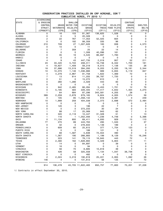|                      | DIVERSIONS              |                  |                  |                     |                 |                |                         |              |
|----------------------|-------------------------|------------------|------------------|---------------------|-----------------|----------------|-------------------------|--------------|
| <b>STATE</b>         | & EROSION               |                  | SHALLOW          |                     |                 |                | <b>CONTOUR</b>          |              |
|                      | CONTROL                 | <b>GRASS</b>     | <b>WATER FOR</b> | EXISTING            | EXISTING        | WILDLIFE       | <b>GRASS</b>            | SHELTER-     |
|                      | STRUCT.                 | <b>WATERWAYS</b> | WILDLIFE         | <b>GRASS</b>        | <b>TREES</b>    | FOOD PLOTS     | <b>STRIPS</b>           | <b>BELTS</b> |
|                      | (CP6&CP7)               | (CP8)            | (CP9)            | (CP10)              | (CP11)          | (CP12)         | (CP15)                  | (CP16)       |
| <b>ALABAMA</b>       | 0                       | 16               | 153              | 81,367              | 138,625         | 1,528          | 41                      | 0            |
| ALASKA               | 0                       | 0                | 5                | 20,328              | 0               | 0              | 0                       | 0            |
| ARKANSAS             | 2                       | 22               | 767              | 17,353              | 52,025          | 604            | 0                       | 0            |
| CALIFORNIA           | 0                       | 0                | 182              | 99,359              | 335             | 96             | 0                       | 0            |
| COLORADO             | 210                     | 728              | 27               | 1,007,826           | 183             | 938            | 0                       | 4,573        |
| CONNECTICUT          | 0                       | 10               | 0                | 11                  | 0               | 0              | 0                       | 0            |
| DELAWARE             | 0                       | $\overline{7}$   | 359              | 25                  | 22              | 14             | 4                       | 0            |
| FLORIDA              | 0                       | 0                | 0                | 1,308               | 40,096          | 161            | 0                       | 0            |
| GEORGIA              | 0                       | 35               | 16               | 3,545               | 86,897          | 1,783          | 9                       | 0            |
| HAWAII               | 0                       | 0                | 0                | 0                   | 0               | 0              | 0                       | 0            |
| <b>IDAHO</b>         | 4                       | 9                | 43               | 447,735             | 2,019           | 957            | 52                      | 211          |
| ILLINOIS             | 23                      | 33,420           | 5,722            | 208,311             | 16,738          | 6,342          | 1,700                   | 161          |
| INDIANA              | 4                       | 19,627           | 1,409            | 59,219              | 9,015           | 1,138          | 135                     | 26           |
| IOWA                 | 18                      | 37,996           | 13,519           | 394,293             | 9,203           | 5,200          | 19,181                  | 2,344        |
| <b>KANSAS</b>        | 10                      | 10,070           | 1,146            | 1,336,866           | 989             | 5,655          | 5,119                   | 847          |
| <b>KENTUCKY</b>      | 4                       | 4,279            | 2,967            | 91,758              | 1,622           | 1,369          | 72                      | 0            |
| LOUISIANA            | 7                       | 13               | 814              | 11,255              | 38,787          | 1,720          | 0                       | 0            |
| MAINE                | 0                       | 51               | 0                | 15,272              | 610             | 2              | 0                       | 0            |
| MARYLAND             | 0                       | 260              | 1,286            | 2,029               | 443             | 83             | 0                       | 0            |
| <b>MASSACHUSETTS</b> | 0                       | 0                | 0                | 0                   | 0               | 0              | 0                       | 0            |
| MICHIGAN             | 3                       | 942              | 2,485            | 66,284              | 5,453           | 1,701          | 12                      | 78           |
| MINNESOTA            | 0                       | 5,195            | 583              | 229,405             | 17,417          | 4,842          | 1,404                   | 4,270        |
| MISSISSIPPI          | 1                       | 64               | 684              | 87,296              | 343,581         | 4,205          | 28                      | 0            |
| MISSOURI             | 389                     | 2,259            | 2,678            | 679,165             | 9,824           | 4,005          | 1,574                   | 59           |
| <b>MONTANA</b>       | 0                       | 105              | 85               | 1,358,142           | 816             | 3,391          | 0                       | 249          |
| NEBRASKA             | 10                      | 1,999            | 259              | 404,039             | 2,373           | 2,698          | 572                     | 2,484        |
| <b>NEW HAMPSHIRE</b> | 0                       | 0                | 0                | 0                   | 0               | 0              | 0                       | 0            |
| NEW JERSEY           | 0                       | 120              | 3                | 196                 | 22              | $\overline{7}$ | 0                       | 0            |
| NEW MEXICO           | 0                       | 0                | 0                | 373,233             | 30              | 24             | 0                       | 0            |
| NEW YORK             | 1                       | 88               | 17               | 25,069              | 943             | 62             | 7                       | 0            |
| NORTH CAROLINA       | 0                       | 320              | 2,118            | 10,447              | 31,328          | 51             | 1                       | 13           |
| NORTH DAKOTA         | 1                       | 116              | $\mathbf{1}$     | 1,052,056           | 1,236           | 4,748          | 0                       | 5,398        |
| OHIO                 | 0                       | 11,134           | 800              | 69,411              | 4,930           | 929            | 15                      | 110          |
| OKLAHOMA             | 77                      | 270              | 89               | 443,763             | 295             | 1,533          | $\overline{\mathbf{c}}$ | 37           |
| OREGON               | 0                       | 32               | 0                | 278,833             | 1,139           | 189            | 0                       | 2            |
| PENNSYLVANIA         | 0                       | 609              | 60               | 25,615              | 377             | 1,754          | 123                     | 0            |
| PUERTO RICO          | 0                       | 0                | 0                | 188                 | 121             | 0              | 0                       | 0            |
| SOUTH CAROLINA       | 0                       | 68               | 1,587            | 5,638               | 72,554          | 490            | 0                       | 0            |
| SOUTH DAKOTA         | 0                       | 1,367            | 190              | 266,883             | 1,199           | 9,129          | 73                      | 16,246       |
| TENNESSEE            |                         | 223              | 141              |                     |                 | 443            | 72                      |              |
| TEXAS                | з<br>0                  | 2,480            | 162              | 78,115<br>1,628,894 | 16,945<br>5,329 | 5,804          | 171                     | U<br>11      |
| <b>UTAH</b>          | 0                       | 14               | 0                | 84,697              | 0               | 39             | 0                       | 0            |
| <b>VERMONT</b>       | 0                       | 16               | 0                | 94                  | 0               | $\mathsf{O}$   | 0                       | 0            |
| VIRGINIA             | 0                       | 56               | 70               | 8,685               | 10,818          | 39             | 4                       | 0            |
| WASHINGTON           | 0                       | 426              | 58               | 325,558             | 1,134           | 1,047          | 38,736                  | 8            |
| WEST VIRGINIA        | 0                       | 0                | 0                | 482                 | 4               | 0              | 0                       | 0            |
| WISCONSIN            | $\overline{\mathbf{c}}$ | 2,024            | 3,219            | 190,818             | 25,221          | 2,955          | 1,092                   | 26           |
| WYOMING              | 146                     | 4                | 0                | 131,612             | 56              | 125            | 0                       | 72           |
|                      | =======                 |                  |                  |                     | $==$            | $==$           |                         |              |
|                      | 914                     | 136,478          |                  | 43,705 11,622,483   | 950,757         | 77,800         | 70,201                  | 37,226       |

1/ Contracts in effect September 30, 2010.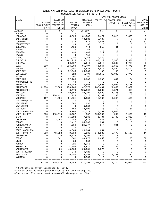|                      |             |              |            |                   |                |           | WETLAND RESTORATION                  |              |               |
|----------------------|-------------|--------------|------------|-------------------|----------------|-----------|--------------------------------------|--------------|---------------|
| <b>STATE</b>         |             |              | SALINITY   |                   | RIPARIAN       | (CP23) 2/ | FLOODPLAIN                           | NON-         | <b>CROSS</b>  |
|                      |             | LIVING       | REDUCING   | FILTER-           | <b>BUFFERS</b> |           | (CP23) 3/                            | FLOODPLAIN   | WIND TRAP     |
|                      | SNOW FENCES |              | VEGETATION | STRIPS            | (CP22)         |           |                                      | $(CP23A)$ 3/ | <b>STRIPS</b> |
|                      |             | (CP17)       | (CP18)     | (CP21)            |                |           |                                      |              | (CP24)        |
| <b>ALABAMA</b>       |             | 0            | 0          | 721               | 33,660         | 65        | 0                                    | 0            | 0             |
| <b>ALASKA</b>        |             | 0            | 0          | 10                | 198            | 0         | 0                                    | 0            | 0             |
| ARKANSAS             |             | 0            | 0          | 5,928             | 61,036         | 13,474    | 15,518                               | 3,580        | 0             |
| CALIFORNIA           |             | 0            | 0          | 0                 | 12,669         | 5,108     | 0                                    | 0            | 0             |
| COLORADO             |             | 27           | 77         | 319               | 817            | 1,081     | 0                                    | 80           | 32            |
| CONNECTICUT          |             | 0            | 0          | 24                | 36             | 0         | 0                                    | 0            | 0             |
| DELAWARE             |             | $\mathbf 0$  | 0          | 1,156             | 114            | 255       | 81                                   | 0            | 0             |
| FLORIDA              |             | 0            | 0          | 0                 | 64             | 0         | 0                                    | 0            | 0             |
| GEORGIA              |             | $\mathbf 0$  | 0          | 438               | 1,449          | 511       | 13                                   | 0            | 0             |
| HAWAII               |             | $\mathbf 0$  | 0          | 0                 | 152            | 0         | 0                                    | 0            | 0             |
| <b>IDAHO</b>         |             | 63           | 0          | 1,227             | 7,168          | 1,259     | 0                                    | 0            | 0             |
| ILLINOIS             |             | 58           | 6          | 142,215           | 110,721        | 42,129    | 6,500                                | 1,581        | 0             |
| INDIANA              |             | $\mathbf{1}$ | 1          | 60,607            | 5,843          | 5,218     | 1,382                                | 1,723        | $\Omega$      |
| IOWA                 |             | 590          | 4          | 236,980           | 65,497         | 13,664    | 58,366                               | 4,875        | 11            |
| <b>KANSAS</b>        |             | 74           | 871        | 31,457            | 3,932          | 3,816     | 2,860                                | 2,400        | 175           |
| KENTUCKY             |             | 0            | 0          | 32,645            | 25,069         | 35        | 96                                   | 0            | 0             |
| LOUISIANA            |             | $\mathbf 0$  | 0          | 628               | 5,401          | 21,850    | 30,039                               | 8,079        | 0             |
| MAINE                |             | 0            | 0          | 107               | 160            | 0         | 0                                    | 0            | 0             |
| MARYLAND             |             | 0            | 0          | 37,708            | 16,635         | 1,905     | 647                                  | 24           | 0             |
| <b>MASSACHUSETTS</b> |             | 0            | 0          | 10                | 5              | 0         | 0                                    | 0            | 0             |
| MICHIGAN             |             | 3            | 0          | 46,745            | 3,468          | 10,607    | 2,062                                | 7,428        | 0             |
| MINNESOTA            |             | 3,930        | 7,066      | 158,268           | 47,575         | 282,434   | 21,069                               | 19,862       | 5             |
| MISSISSIPPI          |             | 0            | 0          | 8,176             | 165,202        | 10,569    | 2,871                                | 615          | 0             |
| MISSOURI             |             | 0            | 0          | 40,862            | 29,302         | 3,609     | 7,445                                | 336          | 0             |
| <b>MONTANA</b>       |             | 52           | 100,431    | 225               | 2,326          | 4,199     | 93                                   | 0            | 0             |
| NEBRASKA             |             | 127          | 1,034      | 21,301            | 3,230          | 11,780    | 1,046                                | 560          | 0             |
| <b>NEW HAMPSHIRE</b> |             | 0            | 0          | 45                | 15             | 0         | 0                                    | 0            | 0             |
| NEW JERSEY           |             | 0            | 0          | 342               | 230            | 1         | 0                                    | 0            | 0             |
| NEW MEXICO           |             | 0            | 0          | 0                 | 5,280          | 0         | 0                                    | 0            | 0             |
| NEW YORK             |             | 0            | 0          | 464               | 13,492         | 46        | 12                                   | 31           | 0             |
| NORTH CAROLINA       |             | $\mathbf 0$  | 0          | 5,906             | 31,514         | 1,201     | 1,008                                | 0            | 0             |
| NORTH DAKOTA         |             | 575          | 113,510    | 9,687             | 557            | 599,785   | 992                                  | 15,920       | 10            |
| OHIO                 |             | 3            | 0          | 75,098            | 7,069          | 3,404     | 2,499                                | 3,339        | 4             |
| OKLAHOMA             |             | 0            | 2,263      | 748               | 1,519          | 835       | 0                                    | 1,479        | 0             |
| OREGON               |             | 0            | 0          | 2,417             | 35,805         | 394       | 3                                    | 0            | 0             |
| PENNSYLVANIA         |             | $\mathbf 0$  | 0          | 1,854             | 24,777         | 317       | 691                                  | 0            | 0             |
| PUERTO RICO          |             | 0            | 0          | 0                 | 717            | 0         | 0                                    | 0            | 0             |
| SOUTH CAROLINA       |             | 0            | 0          | 4,304             | 26,864         | 254       | 0                                    | 0            | 0             |
| SOUTH DAKOTA         |             | 530          | 13,822     | 9,959             | 5,586          | 244,580   | 15,176                               | 23,533       | 11            |
| TENNESSEE            |             | 0            | 0          | 9,476             | 6,399          | 689       | 1                                    | 0            | 0             |
| <b>TEXAS</b>         |             | 0            | 501        | 1,541             | 33,275         | 9,052     | 10                                   | 280          | 167           |
| <b>UTAH</b>          |             | 0            | 0          | 39                | 209            | 0         | 0                                    | 0            | 0             |
| <b>VERMONT</b>       |             | 0            | 0          | 225               | 2,359          | 0         | 0                                    | 0            | 0             |
| VIRGINIA             |             | 0            | 0          | 4,896             | 23,977         | 193       | 43                                   | 0            | 38            |
| WASHINGTON           |             | 0            | 24         | 48,053            | 23,051         | 3,378     | 0                                    | 0            | 0             |
| WEST VIRGINIA        |             | $\mathbf 0$  | 0          | 372               | 4,429          | 0         | $\mathbf 0$                          | 0            | 0             |
| WISCONSIN            |             | 34           | 0          | 26,150            | 16,552         | 8,243     | 1,187                                | 290          | 0             |
| WYOMING              |             | 3            | 0          | 9                 | 5,959          | 0         | 0                                    | 0            | 0             |
|                      | ==========  | 6,070        |            | 239,610 1,029,343 | 871,392        | 1,305,943 | == ======<br>==== =======<br>171,710 | 96,015       | =====<br>452  |

1/ Contracts in effect September 30, 2010.

2/ Acres enrolled under general sign-up and CREP through 2003.

3/ Acres enrolled under continuous/CREP sign-up after 2003.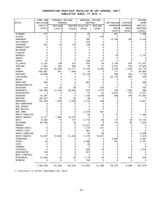|                      | RARE AND       | FARMABLE WETLAND |               | MARGINAL PASTURE |             |                   |                 | <b>UPLAND</b>  |
|----------------------|----------------|------------------|---------------|------------------|-------------|-------------------|-----------------|----------------|
| STATE                | DECLINING      | PROGRAM          |               | <b>BUFFERS</b>   |             | <b>BOTTOMLAND</b> | EXPIRED         | <b>BIRD</b>    |
|                      | <b>HABITAT</b> | WETLAND          | <b>BUFFER</b> | WILDLIFE         | WETLAND     | <b>HARDWOOD</b>   | <b>HARDWOOD</b> | <b>HABITAT</b> |
|                      | (CP25)         | (CP27)           | (CP28)        | (CP29)           | (CP30)      | TREES             | TREES           | <b>BUFFERS</b> |
|                      |                |                  |               |                  |             | (CP31)            | (CP32)          | (CP33)         |
| <b>ALABAMA</b>       | 474            | 0                | 0             | 63               | 0           | 801               | 0               | 1,099          |
| <b>ALASKA</b>        | 0              | 0                | 0             | 0                | 433         | 0                 | 0               | 0              |
| ARKANSAS             | 0              | 0                | 0             | 385              | 1           | 10,185            | 393             | 5,409          |
| CALIFORNIA           | 0              | 0                | 0             | 578              | 0           | 0                 | 0               | 0              |
| COLORADO             | 381            | 33               | 123           | 189              | 19          | 0                 | 0               | 0              |
| CONNECTICUT          | 0              | 0                | 0             | 0                | 0           | 0                 | 0               | 0              |
| DELAWARE             | 0              | 0                | 0             | 0                | 0           | 0                 | 0               | 0              |
| FLORIDA              | 0              | 0                | 0             | $\mathbf 0$      | 0           | 0                 | 0               | 0              |
| GEORGIA              | 0              | 0                | 0             | 3                | 0           | 25                | 0               | 2,197          |
| HAWAII               | 0              | 0                | 0             | 0                | 0           | 0                 | 0               | 0              |
| <b>IDAHO</b>         | 37             | 4                | 2             | 228              | 171         | 0                 | 0               | 0              |
| ILLINOIS             | 2,147          | 138              | 257           | 243              | 24          | 2,764             | 637             | 51,551         |
| INDIANA              | 1,904          | 332              | 626           | 78               | 51          | 3,212             | 575             | 12,649         |
| <b>IOWA</b>          | 79,450         | 22,062           | 54,111        | 9,734            | 2,292       | 2,025             | 1,550           | 24,119         |
| <b>KANSAS</b>        | 500,801        | 551              | 1,094         | 19               | 0           | 171               | 0               | 38,800         |
| <b>KENTUCKY</b>      | 16,888         | 0                | 0             | 73,138           | 5           | 280               | 234             | 7,748          |
| LOUISIANA            | 0              | 0                | 0             | 0                | 0           | 24,173            | 922             | 439            |
| MAINE                | 0              | 0                | 0             | 0                | 12          | 0                 | 0               | 0              |
| MARYLAND             | 265            | 1                | 4             | 687              | 6           | 4                 | 0               | 688            |
| <b>MASSACHUSETTS</b> | 0              | 0                | 0             | $\mathbf 0$      | 0           | 0                 | 0               | 0              |
| MICHIGAN             | 216            | 23               | 48            | $\mathbf 0$      | 235         | 11                | 6               | 787            |
| MINNESOTA            | 135,489        | 12,764           | 29,604        | 873              | 4,072       | 228               | 1,862           | 398            |
| MISSISSIPPI          | 0              | 0                | 0             | 37               | 24          | 9,974             | 775             | 2,231          |
| MISSOURI             | 73,281         | 4                | 5             | 1,148            | 2,006       | 936               | 546             | 31,653         |
| MONTANA              | 188,257        | 50               | 90            | 98               | 0           | 0                 | 0               | 0              |
| NEBRASKA             | 132,385        | 1,548            | 2,488         | 1,145            | 209         | 9                 | 0               | 5,851          |
| NEW HAMPSHIRE        | 0              | 0                | 0             | 0                | 0           | 0                 | 0               | 0              |
| NEW JERSEY           | 0              | 0                | 0             | 0                | 0           | 0                 | 0               | 0              |
| NEW MEXICO           | 0              | 0                | 0             | 0                | 0           | 0                 | 0               | 0              |
| NEW YORK             | 0              | 0                | 0             | 2,276            | 901         | 2                 | 0               | 0              |
| NORTH CAROLINA       | 0              | $\Omega$         | 0             | 54               | 0           | 14                | 0               | 7,460          |
| NORTH DAKOTA         | 6,141          | 7,695            | 19,275        | 0                | 0           | 0                 | 0               | 0              |
| OHIO                 | 6,562          | 75               | 174           | 2,743            | 82          | 61                | 39              | 15,133         |
| OKLAHOMA             | 25,458         | 9                | 22            | 6                | 9           | 416               | 80              | 1,054          |
| OREGON               | 7              | 0                | 0             | 10,427           | 105         | 0                 | 0               | 0              |
| PENNSYLVANIA         | 0              | 0                | 0             | 1,170            | 441         | 2                 | 0               | 0              |
| PUERTO RICO          | 0              | 0                | 0             | 961              | 0           | 0                 | 0               | 0              |
| SOUTH CAROLINA       | 0              | 0                | 0             | 50               | 86          | 0                 | 0               | 5,688          |
| SOUTH DAKOTA         | 13,957         | 18,952           | 41,583        | 4,179            | 19,821      | 0                 | 0               | 1,318          |
| <b>TENNESSEE</b>     | 0              | 0                | 0             | 9                | 0           | 2,902             | 1               | 4,991          |
| <b>TEXAS</b>         | 52             | 0                | 0             | 2,086            | 2           | 381               | 0               | 4,791          |
| <b>UTAH</b>          | 0              | 0                | 0             | 26               | 0           | 0                 | 0               | 0              |
| <b>VERMONT</b>       | 0              | 0                | 0             | 0                | 3           | 0                 | 0               | 0              |
| VIRGINIA             | 0              | 0                | 0             | 526              | 20          | 0                 | 0               | 1,524          |
| WASHINGTON           | 108            | 0                | 0             | 837              | 0           | 0                 | 0               | 0              |
| WEST VIRGINIA        | 0              | 0                | 0             | 0                | $\mathbf 0$ | 0                 | 0               | 0              |
| WISCONSIN            | 15,064         | 22               | 35            | 1,176            | 30          | 0                 | 950             | 304            |
| WYOMING              | 0              | 0                | 0             | 745              | 0           | 0                 | 0               | 0              |
|                      | 1,199,326      | 64,262           | 149,542       | 115,922          | 31,060      | 58,575            | 8,569           | 227,879        |

1/ Contracts in effect September 30, 2010.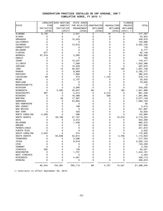|                      | LONGLEAF                  | DUCK NESTING    | STATE ACRES               |                     |                    | <b>FLOODED</b>                  |                      |
|----------------------|---------------------------|-----------------|---------------------------|---------------------|--------------------|---------------------------------|----------------------|
| <b>STATE</b>         | PINE                      | HABITAT         | FOR WILDLIFE              | CONSTRUCTED         | <b>AQUACULTURE</b> | PRAIRIE                         | <b>TOTAL</b>         |
|                      | INITIATIVE                | INITIATIVE      | <b>ENHANCEMENT</b>        | <b>WETLANDS</b>     | <b>WETLANDS</b>    | <b>WETLANDS</b>                 |                      |
|                      | (CP36)                    | (CP37)          | (CP38)                    | (CP39)              | (CP40)             | $(CP41)$ 1/                     |                      |
| <b>ALABAMA</b>       | 8,152                     | 0               | 2,041                     | 0                   | 18                 | 0                               | 417,497              |
| <b>ALASKA</b>        | 0                         | 0               | 0                         | 0                   | 0                  | 0                               | 25,823               |
|                      | 0                         | 0               |                           | 0                   | 0                  |                                 |                      |
| ARKANSAS             | 0                         | 0               | 10,423                    | 0                   |                    | 0<br>0                          | 248,619              |
| CALIFORNIA           |                           |                 | 0                         |                     | 0                  |                                 | 125,668              |
| COLORADO             | 0                         | 0               | 10,915                    | 0                   | 0                  | 0                               | 2,022,103            |
| CONNECTICUT          | 0                         | 0               | 0                         | 0                   | 0                  | 0                               | 176                  |
| <b>DELAWARE</b>      | 0                         | 0               | 0                         | 0                   | 0                  | 0                               | 6,777                |
| FLORIDA              | 677                       | 0               | 0                         | 0                   | 0                  | 0                               | 62,126               |
| GEORGIA              | 67,518                    | 0               | 3,262                     | 0                   | 0                  | 0                               | 320,906              |
| HAWAII               | 0                         | 0               | 0                         | 0                   | 0                  | 0                               | 165                  |
| <b>IDAHO</b>         | 0                         | 0               | 10,247                    | 0                   | 0                  | 0                               | 716,417              |
| ILLINOIS             | 0                         | 0               | 7,368                     | 0                   | 0                  | 0                               | 1,022,486            |
| INDIANA              | 0                         | 0               | 12,229                    | 0                   | 0                  | 0                               | 287,675              |
| IOWA                 | $\mathbf 0$               | 12              | 30,007                    | 0                   | 0                  | 125                             | 1,637,108            |
| <b>KANSAS</b>        | 0                         | 0               | 8,958                     | 0                   | 0                  | 0                               | 2,782,777            |
| <b>KENTUCKY</b>      | $\mathbf 0$               | 0               | 7,692                     | 0                   | 0                  | 0                               | 382,575              |
| LOUISIANA            | 59                        | 0               | 215                       | 0                   | 1,123              | 0                               | 318,112              |
| MAINE                | 0                         | 0               | 2,137                     | 0                   | 0                  | 0                               | 20,552               |
| MARYLAND             | 0                         | 0               | 0                         | 0                   | 0                  | 0                               | 79,620               |
| <b>MASSACHUSETTS</b> | 0                         | 0               | 0                         | 0                   | 0                  | 0                               | 15                   |
| MICHIGAN             | 0                         | 0               | 3,090                     | 0                   | 0                  | 0                               | 233,202              |
| MINNESOTA            | 0                         | 5,395           | 25,947                    | 66                  | 0                  | 185                             | 1,641,996            |
| MISSISSIPPI          | 397                       | 0               | 4,315                     | 0                   | 3,410              | 0                               | 861,448              |
| MISSOURI             | 0                         | 0               | 16,588                    | 0                   | 206                | 0                               | 1,391,865            |
| <b>MONTANA</b>       | 0                         | 28              | 17,387                    | 0                   | 0                  | 0                               | 3,077,149            |
| NEBRASKA             | 0                         | 0               | 24,694                    | 0                   | 0                  | 0                               | 1,092,753            |
| <b>NEW HAMPSHIRE</b> | 0                         | 0               | 0                         | 0                   | 0                  | 0                               | 60                   |
| NEW JERSEY           | 0                         | 0               | 198                       | 0                   | 0                  | 0                               | 2,515                |
| NEW MEXICO           | 0                         | 0               | 0                         | 0                   | 0                  | 0                               | 541,807              |
| NEW YORK             | 0                         | 0               | 423                       | 0                   | 0                  | 0                               | 53,633               |
| NORTH CAROLINA       | 4,308                     | 0               | 598                       | 0                   | 0                  | 0                               | 122,860              |
| NORTH DAKOTA         | 0                         | 48,168          | 27,167                    | 0                   | 0                  | 10,319                          | 2,719,334            |
| OHIO                 | 0                         | 0               | 2,512                     | 0                   | 0                  | 0                               | 343,569              |
| OKLAHOMA             | 0                         | 0               | 1,438                     | 0                   | 0                  | 0                               | 860,372              |
| OREGON               | 0                         | 0               | 0                         | 0                   | 0                  | 0                               | 547,920              |
| PENNSYLVANIA         | 0                         | 0               | 0                         | 0                   | 0                  | 0                               | 221,610              |
| PUERTO RICO          | 0                         | 0               | 0                         | 0                   | 0                  | 0                               | 2,052                |
| SOUTH CAROLINA       | 4,042                     | 0               | 514                       | 0                   | 0                  | 0                               | 172,950              |
| SOUTH DAKOTA         | 0                         | 50,658          | 53,814                    | 0                   | 0                  | 2,792                           | 1,113,623            |
| <b>TENNESSEE</b>     | 0                         | 0               |                           | 0                   | 0                  | 0                               |                      |
| <b>TEXAS</b>         | 0                         | 0               | 3,096<br>6,618            | $\mathsf{O}\xspace$ | 0                  | 0                               | 217,443<br>3,305,123 |
|                      |                           | $\Omega$        |                           | 0                   |                    |                                 |                      |
| <b>UTAH</b>          | 0                         |                 | 0                         |                     | 0                  | 0                               | 145,349              |
| <b>VERMONT</b>       | $\mathbf 0$               | 0               | 0                         | 0                   | 0                  | 0                               | 2,703                |
| VIRGINIA             | 392                       | 0               | 126                       | 0                   | 0                  | 0                               | 63,021               |
| WASHINGTON           | 0                         | 0               | 1,731                     | 0                   | 0                  | 0                               | 1,444,161            |
| WEST VIRGINIA        | $\mathbf 0$               | 0               | 0                         | 0                   | 0                  | 0                               | 5,423                |
| WISCONSIN            | 0                         | 0               | 4,361                     | 0                   | 0                  | 0                               | 428,113              |
| WYOMING              | $\mathbf 0$<br>========== | 0<br>========== | 0<br>==================== | $\Omega$            | 0<br>==========    | 0<br>=========== ============== | 208,819              |
|                      | 85,544                    | 104,391         | 300,113                   | 66                  | 4,757              | 13,421                          | 31,298,245           |

1/ Contracts in effect September 30, 2010.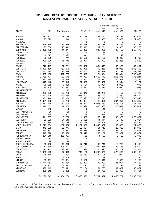#### CRP ENROLLMENT BY ERODIBILITY INDEX (EI) CATEGORY CUMULATIVE ACRES ENROLLED AS OF FY 2010

|                        |                          |                         |                         |                          | General Signup-         |                         |
|------------------------|--------------------------|-------------------------|-------------------------|--------------------------|-------------------------|-------------------------|
|                        |                          |                         |                         | $E I > = 8$              | $E I > = 15$            |                         |
| STATE                  | All                      | Continuous              | $E1 < 8$ 1/             | and $<$ 15               | and $<$ 20              | $E1>=20$                |
|                        |                          |                         |                         |                          |                         |                         |
| ALABAMA                | 417,497                  | 46,765                  | 60,165                  | 146,142                  | 73,755                  | 90,671                  |
| ALASKA                 | 25,823                   | 646                     | 0                       | 1,083                    | 3,029                   | 21,065                  |
| ARIZONA                | 4                        | 4                       | 0                       | 0                        | 0                       | 0                       |
| ARKANSAS               | 248,619                  | 113,565                 | 54,358                  | 41,476                   | 18,873                  | 20,347                  |
| CALIFORNIA             | 125,668                  | 18,443                  | 16,673                  | 32,771                   | 24,578                  | 33,203                  |
| COLORADO               | 2,022,103                | 41,244                  | 55,029                  | 940,930                  | 728,122                 | 256,777                 |
| CONNECTICUT            | 176                      | 71                      | 49                      | 54                       | 3                       | 0                       |
| DELAWARE               | 6,777                    | 5,999                   | 641                     | 83                       | 49                      | 6                       |
| FLORIDA                | 62,126                   | 741                     | 15,565                  | 32,408                   | 11,619                  | 1,793                   |
|                        | 320,906                  |                         |                         |                          |                         |                         |
| GEORGIA                |                          | 75,712                  | 128,921                 | 79,329                   | 23,285                  | 13,659                  |
| HAWAII                 | 165                      | 165                     | 0                       | 0                        | 0                       | 0                       |
| <b>IDAHO</b>           | 716,417                  | 37,231                  | 221,692                 | 334,649                  | 35,438                  | 87,407                  |
| ILLINOIS               | 1,022,486                | 452,679                 | 42,025                  | 119,256                  | 141,935                 | 266,590                 |
| INDIANA                | 287,675                  | 122,626                 | 43,450                  | 41,949                   | 30,129                  | 49,522                  |
| IOWA                   | 1,637,108                | 597,769                 | 68,068                  | 74,064                   | 154,814                 | 742,392                 |
| KANSAS                 | 2,782,777                | 123,542                 | 574,927                 | 1,652,749                | 255,318                 | 176,241                 |
| KENTUCKY               | 382,575                  | 166,686                 | 3,063                   | 11,070                   | 24,969                  | 176,786                 |
| LOUISIANA              | 318,112                  | 109,040                 | 127,320                 | 60,682                   | 7,944                   | 13,127                  |
| MAINE                  | 20,552                   | 2,486                   | 2,191                   | 12,994                   | 1,965                   | 916                     |
| MARYLAND               | 79,620                   | 72,982                  | 3,082                   | 1,519                    | 1,050                   | 986                     |
| MASSACHUSETTS          | 15                       | 15                      | 0                       | 0                        | 0                       | 0                       |
| MICHIGAN               | 233,202                  | 93,709                  | 98,649                  | 31,978                   | 6,150                   | 2,715                   |
| MINNESOTA              | 1,641,996                | 429,684                 | 976,401                 | 185,129                  | 19,269                  | 31,512                  |
| MISSISSIPPI            | 861,448                  | 198,056                 | 158,523                 | 98,743                   | 70,779                  | 335,346                 |
| MISSOURI               | 1,391,865                | 169,733                 | 49,934                  | 125,636                  | 204,296                 | 842,267                 |
| MONTANA                | 3,077,149                | 131,709                 | 135,842                 | 1,955,569                | 576,808                 | 277,221                 |
| NEBRASKA               | 1,092,753                | 172,009                 | 71,999                  | 486,988                  | 223,697                 | 138,062                 |
| NEVADA                 | 146                      | 0                       | 0                       | 146                      | 0                       | 0                       |
| NEW HAMPSHIRE          | 60                       | 60                      | 0                       | 0                        | 0                       | 0                       |
| NEW JERSEY             | 2,515                    | 903                     | 156                     | 646                      | 525                     | 284                     |
| NEW MEXICO             | 541,807                  | 5,280                   | 1,968                   | 160,112                  | 98,070                  | 276,377                 |
| NEW YORK               | 53,633                   | 21,610                  | 5,605                   | 11,644                   | 8,710                   | 6,064                   |
| NORTH CAROLINA         | 122,860                  | 57,188                  | 12,168                  | 13,506                   | 14,157                  | 25,840                  |
| NORTH DAKOTA           | 2,719,334                | 267,952                 | 1,287,426               | 1,040,002                | 102,625                 | 21,329                  |
| OHIO                   | 343,569                  | 165,747                 | 66,454                  | 61,717                   | 22,637                  | 27,015                  |
| OKLAHOMA               | 860,372                  | 9,577                   | 116,075                 | 458,893                  | 156,150                 | 119,678                 |
|                        |                          |                         |                         |                          |                         |                         |
| OREGON<br>PENNSYLVANIA | 547,920                  | 48,960                  | 27,318                  | 298,187                  | 123,997                 | 49,457                  |
|                        | 221,610                  | 206,757                 | 169                     | 1,487                    | 3,183                   | 10,013                  |
| PUERTO RICO            | 2,052                    | 1,687                   | 24                      | 0                        | 0                       | 341                     |
| RHODE ISLAND           | 28                       | 28                      | 0                       | 0                        | 0                       | 0                       |
| SOUTH CAROLINA         | 172,950                  | 43,278                  | 57,718                  | 46,746                   | 13,709                  | 11,498                  |
| SOUTH DAKOTA           | 1,113,619                | 308,023                 | 528,591                 | 247,064                  | 23,338                  | 6,602                   |
| <b>TENNESSEE</b>       | 217,443                  | 27,317                  | 5,374                   | 25,515                   | 35,269                  | 123,968                 |
| TEXAS                  | 3,305,123                | 57,979                  | 740,132                 | 1,296,973                | 570,905                 | 639,133                 |
| <b>UTAH</b>            | 145,349                  | 292                     | 96,761                  | 42,494                   | 2,982                   | 2,819                   |
| <b>VERMONT</b>         | 2,703                    | 2,608                   | 0                       | 49                       | 0                       | 45                      |
| VIRGINIA               | 63,021                   | 31,884                  | 1,402                   | 9,940                    | 9,633                   | 10,162                  |
| WASHINGTON             | 1,444,161                | 112,986                 | 569,222                 | 478,803                  | 135,991                 | 147,160                 |
| WEST VIRGINIA          | 5,423                    | 4,811                   | 180                     | 163                      | 84                      | 185                     |
| WISCONSIN              | 428,113                  | 68,971                  | 73,134                  | 51,763                   | 37,877                  | 196,367                 |
| WYOMING                | 208,819                  | 7,026                   | 182                     | 84,792                   | 69,058                  | 47,761                  |
|                        | ==========<br>31,298,245 | ==========<br>4,634,236 | ==========<br>6,498,629 | ==========<br>10,797,892 | ==========<br>4,066,777 | ==========<br>5,300,711 |

 1/ Land with EI<8 includes other environmentally sensitive lands such as wetland restorations and land in conservation priority areas.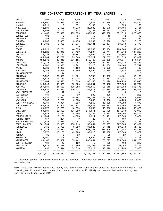#### CRP CONTRACT EXPIRATIONS BY YEAR (ACRES) 1/

| STATE                | 2007                | 2008               | 2009                | 2010                | 2011                | 2012                | 2013               |
|----------------------|---------------------|--------------------|---------------------|---------------------|---------------------|---------------------|--------------------|
| ALABAMA              | 49,800              | 12,985             | 32,392              | 70,048              | 81,289              | 79,081              | 35,464             |
| ALASKA               | 3,811               | 0                  | 871                 | 7,137               | 64                  | 990                 | 50                 |
| ARKANSAS             | 12,881              | 2,405              | 6,678               | 25,638              | 12,676              | 33,464              | 15,431             |
| CALIFORNIA           | 19,493              | 5,104              | 2,322               | 11,323              | 18,071              | 24,403              | 8,190              |
| COLORADO             | 41,460              | 23,390             | 409,399             | 463,909             | 346,038             | 572,318             | 223,653            |
| CONNECTICUT          | 133                 | 0                  | 37                  | 13                  | 13                  | 72                  | 10                 |
| DELAWARE             | 358                 | 445                | 591                 | 435                 | 100                 | 300                 | 289                |
| FLORIDA              | 13,083              | 2,863              | 3,475               | 11,909              | 9,596               | 11,882              | 6,223              |
| GEORGIA              | 21,438              | 5,703              | 24,371              | 33,181              | 23,394              | 33,773              | 15,779             |
| HAWAII               | 0                   | 0                  | 0                   | 0                   | 0                   | 0                   | 0                  |
| <b>IDAHO</b>         | 45,821              | 13,201             | 46,395              | 159,586             | 118,084             | 166,964             | 67,471             |
| ILLINOIS             | 52,820              | 43,046             | 37,439              | 77,297              | 68,744              | 111,212             | 187,285            |
| INDIANA              | 25,723              | 19,752             | 10,864              | 19,094              | 22,229              | 36,694              | 48,485             |
| IOWA                 | 145,804             | 143,779            | 99,843              | 170,521             | 72,255              | 231,819             | 185,382            |
| KANSAS               | 130,079             | 43,010             | 331,165             | 615,469             | 532,085             | 519,641             | 214,324            |
| KENTUCKY             | 41,718              | 16,089             | 13,243              | 46,557              | 37,233              | 46,725              | 35,434             |
| LOUISIANA            | 9,040               | 1,076              | 5,941               | 18,923              | 11,862              | 38,148              | 23,747             |
| MAINE                | 2,780               | 1,302              | 1,106               | 4,065               | 5,605               | 5,302               | 433                |
| MARYLAND             | 3,253               | 5,045              | 5,560               | 3,492               | 3,230               | 8,623               | 10,013             |
| <b>MASSACHUSETTS</b> | 19                  | 14                 | 11                  | 0                   | 5                   | 0                   | $\Omega$           |
| MICHIGAN             | 17,797              | 22,003             | 11,961              | 17,706              | 11,083              | 19,181              | 45,180             |
| MINNESOTA            | 78,676              | 107,119            | 57,216              | 79,799              | 127,861             | 293,147             | 130,474            |
| MISSISSIPPI          | 77,664              | 14,590             | 31,396              | 106,956             | 101,020             | 166,250             | 65,448             |
| MISSOURI             | 146,649             | 48,873             | 32,620              | 151,501             | 196,422             | 377,905             | 184,791            |
| MONTANA              | 257,631             | 81,680             | 138,388             | 409,852             | 496,515             | 696,283             | 366,576            |
| NEBRASKA             | 89,936              | 45,373             | 116,621             | 185,817             | 151,975             | 201,968             | 97,512             |
| NEW HAMPSHIRE        | 90                  | 17                 | 0                   | 6                   | 45                  | 0                   | 0                  |
| NEW JERSEY           | 481                 | 99                 | 30                  | 209                 | 326                 | 171                 | 255                |
| NEW MEXICO           | 28,531              | 2,530              | 29,264              | 103,137             | 164,748             | 120,549             | 9,643              |
| NEW YORK             | 7,965               | 6,296              | 2,083               | 2,880               | 2,526               | 3,729               | 4,352              |
| NORTH CAROLINA       | 9,761               | 4,324              | 7,093               | 17,262              | 12,908              | 10,793              | 7,872              |
| NORTH DAKOTA         | 400,828             | 134,905            | 191,777             | 259,848             | 386,817             |                     | 259,964            |
| OHIO                 |                     |                    |                     |                     |                     | 845,568             |                    |
|                      | 24,678              | 13,755             | 10,574              | 19,362              | 13,396              | 26,734              | 56,572             |
| OKLAHOMA             | 89,081              | 22,490             | 101,359             | 211,511             | 192,188             | 191,613             | 75,910             |
| OREGON               | 10,643              | 5,421              | 14,696              | 77,235              | 104,633             | 90,002              | 56,402             |
| PENNSYLVANIA         | 21,804              | 9,189              | 4,588<br>0          | 1,911<br>20         | 21,421<br>0         | 27,340              | 13,821             |
| PUERTO RICO          | 157                 | 264                |                     |                     |                     | 167                 | 0                  |
| SOUTH CAROLINA       | 17,438              | 5,035              | 17,481              | 31,830              | 20,591              | 35,567              | 14,756             |
| SOUTH DAKOTA         | 301,794             | 118,663            | 183,719             | 152,054             | 126,607             | 227,009             | 106,982            |
| <b>TENNESSEE</b>     | 41,452              | 9,752              | 8,920               | 39,928              | 34,112              | 29,078              | 51,436             |
| <b>TEXAS</b>         | 151,718             | 109,082            | 561,493             | 696,787             | 684,506             | 827,344             | 362,743            |
| UTAH                 | 12,872              | 10,186             | 49,923              | 85,310              | 17,368              | 27,344              | 5,072              |
| VERMONT              | 66                  | 8                  | 30                  | 0                   | 58                  | 27                  | 0                  |
| VIRGINIA             | 6,060               | 2,406              | 2,597               | 3,559               | 5,086               | 5,737               | 4,773              |
| WASHINGTON           | 30,168              | 36,652             | 85,442              | 207,054             | 88,727              | 275,549             | 254,270            |
| WEST VIRGINIA        | 131                 | 49                 | 129                 | 0                   | 188                 | 103                 | 212                |
| WISCONSIN            | 72,832              | 64,816             | 31,550              | 57,295              | 44,310              | 70,058              | 74,317             |
| WYOMING              | 11,493<br>========= | 3,544<br>========= | 62,618<br>========= | 75,217<br>========= | 49,378<br>========= | 61,233<br>========= | 5,366<br>========= |
|                      | 2,527,910           | 1,218,330          | 2,785,271           | 4,732,787           | 4,417,389           | 6,551,862           | 3,332,362          |

1/ Includes general and continuous sign-up acreage. Contracts expire at the end of the fiscal year, September 30.

Note: Data for fiscal years 2007-2009, are acres that were not re-enrolled under new contracts. For fiscal year 2010 and later, data includes acres that will likely be re-enrolled and starting new contracts in fiscal year 2011.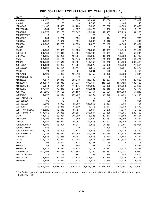#### CRP CONTRACT EXPIRATIONS BY YEAR (ACRES) 1/

| STATE                | 2014               | 2015               | 2016             | 2017               | 2018               | 2019               | 2020+              |
|----------------------|--------------------|--------------------|------------------|--------------------|--------------------|--------------------|--------------------|
| ALABAMA              | 34,872             | 28,160             | 14,085           | 33,484             | 15,786             | 5,197              | 20,032             |
| ALASKA               | 459                | 103                | 0                | 14,732             | 0                  | 2,146              | 143                |
| ARKANSAS             | 11,167             | 17,838             | 12,169           | 16,545             | 25,738             | 14,594             | 63,359             |
| CALIFORNIA           | 1,784              | 5,018              | 4,337            | 41,479             | 1,966              | 1,924              | 7,173              |
| COLORADO             | 93,975             | 95,100             | 87,847           | 29,954             | 47,487             | 27,713             | 34,108             |
| CONNECTICUT          | 10                 | 0                  | 0                | 20                 | 34                 | З                  | 0                  |
| DELAWARE             | 234                | 1,777              | 1,684            | 534                | 414                | 270                | 739                |
| FLORIDA              | 6,998              | 5,077              | 694              | 5,883              | 2,516              | 407                | 942                |
| GEORGIA              | 63,737             | 42,786             | 3,599            | 14,876             | 23,135             | 3,645              | 63,001             |
| HAWAII               | 0                  | 0                  | 19               | 0                  | 0                  | 0                  | 147                |
| <b>IDAHO</b>         | 43,338             | 23,625             | 14,280           | 74,352             | 10,097             | 10,540             | 28,081             |
| ILLINOIS             | 98,150             | 118,313            | 84,564           | 100,768            | 69,967             | 46,241             | 59,944             |
| INDIANA              | 19,585             | 27,256             | 19,394           | 32,668             | 16,340             | 13,229             | 32,702             |
| IOWA                 | 92,988             | 114,160            | 98,645           | 226,728            | 166,363            | 135,976            | 142,271            |
| KANSAS               | 120,763            | 113,542            | 99,021           | 143,156            | 108,248            | 51,006             | 265,523            |
| KENTUCKY             | 20,634             | 26,255             | 14,964           | 26,273             | 37,936             | 13,200             | 77,364             |
| LOUISIANA            | 50,231             | 28,461             | 3,414            | 8,918              | 32,579             | 8,251              | 93,579             |
| MAINE                | 74                 | 451                | 61               | 2,281              | 123                | 3                  | 2,156              |
| MARYLAND             | 6,198              | 8,995              | 10,013           | 13,459             | 6,425              | 3,826              | 5,344              |
| <b>MASSACHUSETTS</b> | 0                  | 0                  | 0                | 0                  | 0                  | 10                 | 0                  |
| MICHIGAN             | 7,547              | 24,348             | 39,243           | 20,788             | 12,257             | 7,483              | 28,386             |
| MINNESOTA            | 208,017            | 101,910            | 91,075           | 105,147            | 215,609            | 105,424            | 183,532            |
| MISSISSIPPI          | 45,514             | 64,881             | 41,145           | 127,609            | 57,350             | 29,888             | 55,387             |
| MISSOURI             | 57,467             | 79,248             | 67,990           | 136,901            | 48,813             | 20,051             | 70,777             |
| MONTANA              | 251,236            | 114,106            | 36,108           | 416,454            | 123,551            | 109,230            | 57,240             |
| NEBRASKA             | 72,287             | 65,617             | 50,098           | 72,199             | 51,462             | 25,235             | 118,584            |
| NEW HAMPSHIRE        | 0                  | 0                  | 8                | 0                  | 1                  | 0                  | 0                  |
|                      | 95                 | 72                 | 81               | 434                | 169                | 73                 | 631                |
| NEW JERSEY           |                    |                    |                  |                    |                    |                    |                    |
| NEW MEXICO           | 5,998              | 1,909              | 2,363            | 122,956            | 8,367              | 1,734              | 401                |
| NEW YORK             | 969                | 6,245              | 5,639            | 11,715             | 5,077              | 3,930              | 6,570              |
| NORTH CAROLINA       | 12,526             | 15,613             | 9,721            | 9,047              | 9,275              | 4,647              | 13,195             |
| NORTH DAKOTA         | 149,452            | 54,338             | 39,501           | 365,547            | 22,836             | 46,355             | 289,109            |
| OHIO                 | 13,440             | 28,031             | 20,900           | 43,326             | 17,377             | 16,868             | 87,564             |
| OKLAHOMA             | 20,106             | 25,077             | 27,082           | 70,832             | 19,067             | 9,098              | 17,887             |
| OREGON               | 32,982             | 35,041             | 29,981           | 80,675             | 13,023             | 10,052             | 17,891             |
| PENNSYLVANIA         | 13,999             | 16,394             | 9,944            | 19,666             | 24,351             | 27,701             | 45,061             |
| PUERTO RICO          | 436                | 0                  | 0                | 0                  | 1,409              | 20                 | 0                  |
| SOUTH CAROLINA       | 19,733             | 18,806             | 3,174            | 17,076             | 2,784              | 2,172              | 6,460              |
| SOUTH DAKOTA         | 71,725             | 46,517             | 58,052           | 50,281             | 33,014             | 47,418             | 193,964            |
| <b>TENNESSEE</b>     | 9,533              | 13,855             | 9,261            | 13,576             | 5,742              | 3,484              | 7,437              |
| TEXAS                | 170,371            | 140,347            | 61,295           | 140,617            | 103,810            | 87,845             | 29,457             |
| <b>UTAH</b>          | 396                | 3,327              | 3,133            | 3,361              | 34                 | 0                  | 5                  |
| <b>VERMONT</b>       | 54                 | 133                | 596              | 207                | 199                | 177                | 1,251              |
| VIRGINIA             | 2,411              | 8,311              | 8,722            | 10,278             | 5,913              | 2,374              | 5,856              |
| WASHINGTON           | 141,093            | 131,436            | 103,688          | 10,709             | 166,363            | 48,221             | 17,050             |
| WEST VIRGINIA        | 42                 | 95                 | 357              | 765                | 678                | 383                | 2,600              |
| WISCONSIN            | 26,851             | 32,449             | 17,332           | 46,510             | 30,250             | 8,435              | 20,306             |
| WYOMING              | 4,853<br>========= | 3,881<br>========= | 932<br>========= | 1,579<br>========= | 2,590<br>========= | 2,315<br>========= | 1,473<br>========= |
|                      | 2,004,357          | 1,688,904          | 1,206,212        | 2,684,367          | 1,546,528          | 958,797            | 2,174,680          |

1/ Includes general and continuous sign-up acreage. Contracts expire at the end of the fiscal year, September 30.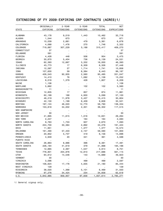### EXTENSIONS OF FY 2009-EXPIRING CRP CONTRACTS (ACRES)1/

| ORIGINALLY<br>2-YEAR<br>5 - YEAR<br><b>TOTAL</b>                                      | NET               |
|---------------------------------------------------------------------------------------|-------------------|
|                                                                                       |                   |
| EXPIRING<br>EXTENSIONS<br>EXTENSIONS<br>STATE<br>EXTENSIONS                           | EXPRIATIONS       |
|                                                                                       |                   |
| 43,178<br>ALABAMA<br>9,019<br>1,443<br>10,462<br>1,544<br>673<br>673<br><b>ALASKA</b> | 32,716<br>871     |
| ARKANSAS<br>10,039<br>2,881<br>479<br>3,361                                           | 6,678             |
| CALIFORNIA<br>4,068<br>1,476<br>1,746<br>270                                          | 2,322             |
| COLORADO<br>719,687<br>307,229<br>310,417<br>3,188                                    | 409,270           |
| CONNECTICUT<br>37                                                                     | 37                |
| 591<br>DELAWARE                                                                       | 591               |
| FLORIDA<br>4,428<br>954<br>448<br>506                                                 | 3,475             |
| 30,670<br>5,404<br>GEORGIA<br>736<br>6,139                                            | 24,531            |
| <b>IDAHO</b><br>62,393<br>12,667<br>3,332<br>16,000                                   | 46,393            |
| ILLINOIS<br>43,773<br>6,309<br>6,326<br>17                                            | 37,446            |
| INDIANA<br>12,597<br>27<br>1,714<br>1,741                                             | 10,856            |
| IOWA<br>107,630<br>59<br>8,384<br>8,443                                               | 99,187            |
| <b>KANSAS</b><br>426,543<br>92,935<br>95,495<br>2,560                                 | 331,047           |
| 14,410<br>76<br>1,082<br>KENTUCKY<br>1,158                                            | 13,252            |
| 8,016<br>1,379<br>428<br>1,807<br>LOUISIANA                                           |                   |
| MAINE<br>1,106                                                                        | 6,209             |
| MARYLAND<br>5,662<br>102<br>102                                                       | 1,106<br>5,560    |
| <b>MASSACHUSETTS</b><br>11                                                            | 11                |
| MICHIGAN<br>12,835<br>857<br>874<br>17                                                | 11,961            |
| 62,199<br>168<br>4,930<br>5,099<br>MINNESOTA                                          | 57,100            |
| MISSISSIPPI<br>46,219<br>11,978<br>15,415                                             | 30,804            |
| 3,437<br>MISSOURI<br>42,130<br>1,199<br>8,409<br>9,608                                | 32,521            |
| 197,124<br><b>MONTANA</b><br>46,020<br>12,770                                         | 138,334           |
| 58,790<br>NEBRASKA<br>153,818<br>34,002                                               | 117,515           |
| 2,301<br>36,302<br><b>NEW HAMPSHIRE</b>                                               |                   |
| NEW JERSEY<br>30                                                                      | 30                |
| NEW MEXICO<br>41,895<br>11,615<br>1,016<br>12,631                                     | 29,264            |
| NEW YORK<br>164<br>164<br>2,247                                                       | 2,083             |
| NORTH CAROLINA<br>9,763<br>1,733<br>937                                               |                   |
| 2,670<br>224,700<br>30,384<br>2,892<br>NORTH DAKOTA<br>33,276                         | 7,093<br>191,424  |
| OHIO<br>11,951<br>1,377<br>1,377                                                      | 10,574            |
| <b>OKLAHOMA</b><br>161,490<br>57,433<br>59,590<br>2,157                               | 101,900           |
| OREGON<br>5,737<br>20,852<br>419<br>6,156                                             | 14,696            |
| PENNSYLVANIA<br>4,949<br>20<br>341<br>361                                             | 4,588             |
| PUERTO RICO                                                                           |                   |
| SOUTH CAROLINA                                                                        |                   |
| 26,863<br>8,986<br>396<br>9,381<br>41,619<br>SOUTH DAKOTA<br>226,184<br>41,998<br>379 | 17,481<br>184,186 |
| 12,665<br>2,367<br>3,914<br><b>TENNESSEE</b><br>1,547                                 | 8,751             |
| <b>TEXAS</b><br>778,801<br>204,876<br>217,686<br>12,810                               | 561,115           |
| <b>UTAH</b><br>14,689<br>64,612<br>14,546<br>143                                      | 49,923            |
| 30<br><b>VERMONT</b>                                                                  | 30                |
| 499<br>499<br>VIRGINIA                                                                |                   |
| 3,096                                                                                 | 2,597             |
| WASHINGTON<br>106,624<br>17,176<br>4,005<br>21,180<br>129<br>WEST VIRGINIA            | 85,444<br>129     |
| 38,020<br>WISCONSIN<br>1,368<br>6,469                                                 |                   |
| 5,101<br>234<br>WYOMING<br>97,276<br>34,424<br>34,658                                 | 31,550<br>62,618  |
| U.S.<br>3,842,885<br>959,957<br>97,656<br>1,057,614                                   | 2,785,271         |

1/ General signup only.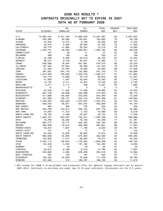#### 2006 REX RESULTS \* CONTRACTS ORIGINALLY SET TO EXPIRE IN 2007 DATA AS OF FEBRUARY 2008

|                   |            | RE-       | EX-        | <b>TOTAL</b> | PERCENT | DECLINED  |
|-------------------|------------|-----------|------------|--------------|---------|-----------|
| STATE             | ELIGIBLE   | ENROLLED  | TENDED     | REX          | REX     | REX       |
|                   |            |           |            |              |         |           |
| U.S.              | 15,685,540 | 2,531,449 | 10,866,548 | 13,397,997   | 85      | 2,287,543 |
| ALABAMA           | 230,396    | 30,060    | 150,601    | 180,660      | 78      | 49,736    |
| ALASKA            | 24,034     | 14,475    | 6,156      | 20,632       | 86      | 3,402     |
| ARKANSAS          | 46,378     | 5,283     | 29,500     | 34,783       | 75      | 11,595    |
| CALIFORNIA        | 93,779     | 41,885    | 32,334     | 74,219       | 79      | 19,560    |
| COLORADO          | 1,350,741  | 28,562    | 1,263,621  | 1,292,183    | 96      | 58,558    |
| CONNECTICUT       | 167        | 20        | 17         | 37           | 22      | 130       |
| DELAWARE          | 399        | 108       | 95         | 203          | 51      | 196       |
| FLORIDA           | 42,769     | 6,506     | 22,218     | 28,725       | 67      | 14,045    |
| GEORGIA           | 96,214     | 9,736     | 64,347     | 74,083       | 77      | 22,131    |
| <b>IDAHO</b>      | 528,598    | 76,494    | 401,881    | 478,375      | 90      | 50,223    |
| ILLINOIS          | 167,422    | 67,844    | 63,599     | 131,443      | 79      | 35,978    |
| INDIANA           | 67,492     | 27,003    | 18,560     | 45,563       | 68      | 21,928    |
| <b>IOWA</b>       | 497,091    | 204,143   | 152,960    | 357,103      | 72      | 139,988   |
| <b>KANSAS</b>     | 1,610,000  | 135,038   | 1,333,279  | 1,468,317    | 91      | 141,684   |
| <b>KENTUCKY</b>   | 132,719    | 14,693    | 76,179     | 90,872       | 68      | 41,847    |
| LOUISIANA         | 41,083     | 7,597     | 25,943     | 33,540       | 82      | 7,543     |
| MAINE             | 15,155     | 2,411     | 10,024     | 12,435       | 82      | 2,720     |
| MARYLAND          | 4,217      | 2,117     | 409        | 2,527        | 60      | 1,690     |
| MASSACHUSETTS     | 15         | 0         | 0          | 0            | 0       | 15        |
| MICHIGAN          | 45,248     | 11,505    | 17,390     | 28,895       | 64      | 16,353    |
| MINNESOTA         | 381,729    | 59,856    | 255,098    | 314,954      | 83      | 66,775    |
| MISSISSIPPI       | 417,689    | 100,825   | 243,655    | 344,480      | 82      | 73,209    |
| MISSOURI          | 781,389    | 129,151   | 502,418    | 631,569      | 81      | 149,820   |
| MONTANA           | 1,545,823  | 354,033   | 1,070,037  | 1,424,070    | 92      | 121,753   |
| NEBRASKA          | 558,043    | 65,877    | 397,972    | 463,849      | 83      | 94,194    |
| NEW JERSEY        | 992        | 380       | 155        | 535          | 54      | 458       |
| NEW MEXICO        | 533,768    | 124,614   | 383,164    | 507,778      | 95      | 25,990    |
| NEW YORK          | 24,645     | 11,313    | 4,753      | 16,066       | 65      | 8,579     |
| NORTH CAROLINA    | 40,162     | 3,486     | 25,637     | 29,124       | 73      | 11,038    |
| NORTH DAKOTA      | 1,652,787  | 553,567   | 740,231    | 1,293,798    | 78      | 358,989   |
| OH <sub>I</sub> O | 75,769     | 35,283    | 18,726     | 54,009       | 71      | 21,761    |
| OKLAHOMA          | 620,777    | 70,777    | 462,405    | 533,182      | 86      | 87,594    |
| OREGON            | 295,609    | 75,612    | 208,989    | 284,601      | 96      | 11,007    |
| PENNSYLVANIA      | 30,810     | 7,827     | 1,196      | 9,023        | 29      | 21,787    |
| PUERTO RICO       | 157        | 0         | 17         | 17           | 11      | 140       |
| SOUTH CAROLINA    | 94,532     | 14,940    | 59,934     | 74,874       | 79      | 19,658    |
| SOUTH DAKOTA      | 683,628    | 52,684    | 370,650    | 423,335      | 62      | 260,294   |
| <b>TENNESSEE</b>  | 122,600    | 11,014    | 68,063     | 79,077       | 64      | 43,523    |
| TEXAS             | 2,055,713  | 126,645   | 1,779,363  | 1,906,008    | 93      | 149,705   |
| <b>UTAH</b>       | 143,549    | 3,334     | 131,160    | 134,494      | 94      | 9,055     |
| <b>VERMONT</b>    | 116        | 45        | 49         | 94           | 81      | 22        |
| VIRGINIA          | 22,613     | 6,766     | 8,019      | 14,786       | 65      | 7,827     |
| WASHINGTON        | 220,680    | 2,593     | 203,226    | 205,818      | 93      | 14,862    |
| WEST VIRGINIA     | 497        | 133       | 187        | 320          | 64      | 177       |
| WISCONSIN         | 190,222    | 34,900    | 76,538     | 111,439      | 59      | 78,783    |
| WYOMING           | 197,320    | 310       | 185,791    | 186,102      | 94      | 11,218    |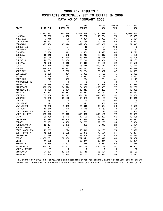#### 2006 REX RESULTS \* CONTRACTS ORIGINALLY SET TO EXPIRE IN 2008 DATA AS OF FEBRUARY 2008

|                   |           | RE-      | EX-           | <b>TOTAL</b> | <b>PERCENT</b> | DECLINED   |
|-------------------|-----------|----------|---------------|--------------|----------------|------------|
| STATE             | ELIGIBLE  | ENROLLED | <b>TENDED</b> | <b>REX</b>   | REX            | <b>REX</b> |
|                   |           |          |               |              |                |            |
| U.S.              | 5,893,381 | 934,629  | 3,859,389     | 4,794,018    | 81             | 1,099,364  |
| <b>ALABAMA</b>    | 58,839    | 4,052    | 39,732        | 43,784       | 74             | 15,055     |
| ARKANSAS          | 7,716     | 130      | 4,891         | 5,022        | 65             | 2,694      |
| CALIFORNIA        | 15,777    | 0        | 10,735        | 10,735       | 68             | 5,041      |
| COLORADO          | 393,400   | 45,974   | 319,984       | 365,957      | 93             | 27,443     |
| CONNECTICUT       | 34        | 24       | 10            | 34           | 100            |            |
| DELAWARE          | 272       | 20       | 115           | 135          | 50             | 137        |
| FLORIDA           | 5,184     | 813      | 1,580         | 2,393        | 46             | 2,790      |
| GEORGIA           | 16,313    | 600      | 10,217        | 10,817       | 66             | 5,496      |
| <b>IDAHO</b>      | 69,046    | 11,574   | 43,974        | 55,548       | 80             | 13,498     |
| ILLINOIS          | 119,639   | 31,606   | 55,748        | 87,354       | 73             | 32,285     |
| INDIANA           | 40,992    | 6,416    | 19,019        | 25,436       | 62             | 15,556     |
| IOWA              | 329,418   | 123,254  | 96,418        | 219,671      | 67             | 109,746    |
| <b>KANSAS</b>     | 386,640   | 16,821   | 322,481       | 339,302      | 88             | 47,338     |
| <b>KENTUCKY</b>   | 44,661    | 8,728    | 21,234        | 29,962       | 67             | 14,699     |
| LOUISIANA         | 9,833     | 301      | 7,099         | 7,400        | 75             | 2,433      |
| MAINE             | 5,146     | 112      | 3,687         | 3,799        | 74             | 1,347      |
| MARYLAND          | 1,875     | 488      | 274           | 761          | 41             | 1,113      |
| MASSACHUSETTS     | 1         | 0        | 0             | 0            | 0              | -1         |
| MICHIGAN          | 45,636    | 9,510    | 15,436        | 24,946       | 55             | 20,689     |
| MINNESOTA         | 390,160   | 174,574  | 124,386       | 298,960      | 77             | 91,200     |
| MISSISSIPPI       | 70,189    | 8,421    | 45,817        | 54,239       | 77             | 15,950     |
| MISSOURI          | 181,611   | 14,533   | 121,217       | 135,750      | 75             | 45,861     |
| <b>MONTANA</b>    | 757,306   | 114,115  | 581,722       | 695,837      | 92             | 61,468     |
| NEBRASKA          | 177,055   | 16,176   | 115,933       | 132,109      | 75             | 44,946     |
| NEVADA            | 151       | 0        | 146           | 146          | 97             | 5          |
| <b>NEW JERSEY</b> | 572       | 86       | 421           | 507          | 89             | 65         |
| NEW MEXICO        | 36,882    | 8,043    | 26,310        | 34,354       | 93             | 2,528      |
| NEW YORK          | 10,648    | 2,776    | 1,675         | 4,450        | 42             | 6,198      |
| NORTH CAROLINA    | 10,980    | 581      | 5,545         | 6,127        | 56             | 4,854      |
| NORTH DAKOTA      | 473,519   | 23,818   | 318,642       | 342,460      | 72             | 131,059    |
| OH <sub>I</sub> O | 30,700    | 8,172    | 12,120        | 20,292       | 66             | 10,408     |
| OKLAHOMA          | 173,588   | 15,248   | 132,669       | 147,917      | 85             | 25,671     |
| OREGON            | 63,189    | 4,480    | 54,755        | 59,235       | 94             | 3,954      |
| PENNSYLVANIA      | 12,424    | 2,079    | 863           | 2,943        | 24             | 9,481      |
| PUERTO RICO       | 322       | 0        | 0             | $\Omega$     | 0              | 322        |
| SOUTH CAROLINA    | 19,355    | 724      | 13,540        | 14,265       | 74             | 5,090      |
| SOUTH DAKOTA      | 148,335   | 6,528    | 68,973        | 75,501       | 51             | 72,834     |
| <b>TENNESSEE</b>  | 27,165    | 2,201    | 13,595        | 15,796       | 58             | 11,369     |
| <b>TEXAS</b>      | 1,007,831 | 107,838  | 792,611       | 900,449      | 89             | 107,382    |
| <b>UTAH</b>       | 41,202    | 0        | 30,841        | 30,841       | 75             | 10,361     |
| VIRGINIA          | 6,356     | 1,403    | 2,578         | 3,981        | 63             | 2,375      |
| WASHINGTON        | 534,092   | 141,001  | 343,136       | 484,138      | 91             | 49,955     |
| WEST VIRGINIA     | 37        | 0        | 0             | 0            | 0              | 37         |
| WISCONSIN         | 121,821   | 19,576   | 37,115        | 56,691       | 47             | 65,130     |
| WYOMING           | 47,469    | 1,830    | 42,142        | 43,972       | 93             | 3,497      |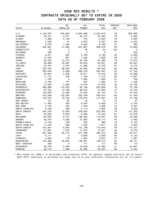#### 2006 REX RESULTS \* CONTRACTS ORIGINALLY SET TO EXPIRE IN 2009 DATA AS OF FEBRUARY 2008

|                  |           | RE-      | EX-           | <b>TOTAL</b> | <b>PERCENT</b> | DECLINED |
|------------------|-----------|----------|---------------|--------------|----------------|----------|
| <b>STATE</b>     | ELIGIBLE  | ENROLLED | <b>TENDED</b> | <b>REX</b>   | REX            | REX      |
|                  |           |          |               |              |                |          |
| U.S.             | 4,140,502 | 633,620  | 2,600,998     | 3,234,619    | 78             | 905,883  |
| ALABAMA          | 29,441    | 2,071    | 20,412        | 22,482       | 76             | 6,959    |
| <b>ALASKA</b>    | 4,999     | 2,158    | 476           | 2,634        | 53             | 2,365    |
| ARKANSAS         | 7,259     | 57       | 4,979         | 5,037        | 69             | 2,222    |
| CALIFORNIA       | 9,276     | 1,484    | 6,942         | 8,426        | 91             | 850      |
| COLORADO         | 302,961   | 27,082   | 261,897       | 288,979      | 95             | 13,983   |
| CONNECTICUT      | 34        | 3        | 30            | 34           | 100            | 0        |
| DELAWARE         | 558       | 3        | 0             | 3            | $\mathbf{1}$   | 555      |
| FLORIDA          | 6,071     | 387      | 2,793         | 3,180        | 52             | 2,892    |
| GEORGIA          | 13,020    | 601      | 7,226         | 7,828        | 60             | 5,192    |
| <b>IDAHO</b>     | 85,405    | 12,413   | 55,180        | 67,593       | 79             | 17,812   |
| ILLINOIS         | 93,668    | 23,097   | 40,533        | 63,631       | 68             | 30,037   |
| INDIANA          | 25,347    | 4,278    | 11,298        | 15,576       | 61             | 9,770    |
| IOWA             | 223,422   | 88,063   | 50,263        | 138,325      | 62             | 85,096   |
| <b>KANSAS</b>    | 352,040   | 9,269    | 295,578       | 304,847      | 87             | 47,192   |
| <b>KENTUCKY</b>  | 25,947    | 5,308    | 10,271        | 15,579       | 60             | 10,368   |
| LOUISIANA        | 11,712    | 249      | 7,166         | 7,415        | 63             | 4,297    |
| MAINE            | 1,785     | 0        | 1,085         | 1,085        | 61             | 700      |
| MARYLAND         | 2,702     | 777      | 487           | 1,264        | 47             | 1,438    |
| MICHIGAN         | 21,600    | 4,260    | 6,619         | 10,879       | 50             | 10,722   |
| MINNESOTA        | 260,886   | 110,532  | 93,166        | 203,698      | 78             | 57,188   |
| MISSISSIPPI      | 67,542    | 13,189   | 38,613        | 51,802       | 77             | 15,740   |
| MISSOURI         | 125,284   | 13,308   | 74,435        | 87,744       | 70             | 37,540   |
| <b>MONTANA</b>   | 510,299   | 123,364  | 335,509       | 458,873      | 90             | 51,425   |
| NEBRASKA         | 153,572   | 16,753   | 105,073       | 121,827      | 79             | 31,746   |
| NEW JERSEY       | 101       | 52       | 22            | 74           | 73             | 27       |
| NEW MEXICO       | 11,563    | 405      | 8,453         | 8,858        | 77             | 2,705    |
| NEW YORK         | 4,135     | 784      | 1,024         | 1,808        | 44             | 2,327    |
| NORTH CAROLINA   | 8,160     | 489      | 4,113         | 4,602        | 56             | 3,558    |
| NORTH DAKOTA     | 504,279   | 13,360   | 339,565       | 352,925      | 70             | 151,353  |
| OHIO             | 25,600    | 5,676    | 9,848         | 15,524       | 61             | 10,076   |
| <b>OKLAHOMA</b>  | 134,605   | 8,747    | 106,460       | 115,207      | 86             | 19,398   |
| OREGON           | 38,574    | 4,280    | 31,832        | 36,113       | 94             | 2,462    |
| PENNSYLVANIA     | 6,122     | 198      | 783           | 980          | 16             | 5,142    |
| SOUTH CAROLINA   | 11,270    | 592      | 7,225         | 7,817        | 69             | 3,452    |
| SOUTH DAKOTA     | 224,941   | 9,652    | 101,188       | 110,840      | 49             | 114,101  |
| <b>TENNESSEE</b> | 21,897    | 1,612    | 11,910        | 13,521       | 62             | 8,375    |
| <b>TEXAS</b>     | 527,490   | 85,774   | 377,498       | 463,273      | 88             | 64,217   |
| <b>UTAH</b>      | 6,111     | 0        | 3,958         | 3,958        | 65             | 2,153    |
| VIRGINIA         | 4,653     | 719      | 1,954         | 2,672        | 57             | 1,981    |
| WASHINGTON       | 187,366   | 35,654   | 122,561       | 158,215      | 84             | 29,151   |
| WEST VIRGINIA    | 283       | 0        | 171           | 171          | 60             | 113      |
| WISCONSIN        | 58,749    | 5,083    | 19,009        | 24,092       | 41             | 34,657   |
| WYOMING          | 29,772    | 1,836    | 23,392        | 25,227       | 85             | 4,544    |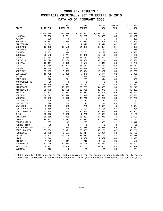#### 2006 REX RESULTS \* CONTRACTS ORIGINALLY SET TO EXPIRE IN 2010 DATA AS OF FEBRUARY 2008

|                   |           | RE-      | EX-           | <b>TOTAL</b> | <b>PERCENT</b> | DECLINED |
|-------------------|-----------|----------|---------------|--------------|----------------|----------|
| <b>STATE</b>      | ELIGIBLE  | ENROLLED | <b>TENDED</b> | <b>REX</b>   | REX            | REX      |
|                   |           |          |               |              |                |          |
| U.S.              | 2,054,699 | 292,216  | 1,195,567     | 1,487,783    | 72             | 566,916  |
| ALABAMA           | 35,506    | 2,781    | 21,298        | 24,078       | 68             | 11,427   |
| <b>ALASKA</b>     | 200       | 0        | 0             | 0            | 0              | 200      |
| <b>ARKANSAS</b>   | 26,433    | 1,234    | 12,970        | 14,204       | 54             | 12,229   |
| CALIFORNIA        | 6,712     | 0        | 2,819         | 2,819        | 42             | 3,893    |
| COLORADO          | 113,463   | 12,592   | 91,062        | 103,654      | 91             | 9,809    |
| DELAWARE          | 296       | 81       | 0             | 81           | 27             | 215      |
| FLORIDA           | 9,133     | 916      | 3,281         | 4,197        | 46             | 4,935    |
| GEORGIA           | 26,598    | 2,744    | 14,376        | 17,120       | 64             | 9,478    |
| <b>IDAHO</b>      | 31,162    | 5,060    | 18,767        | 23,827       | 76             | 7,335    |
| ILLINOIS          | 76,590    | 20,288   | 27,866        | 48,154       | 63             | 28,436   |
| INDIANA           | 15,417    | 2,072    | 6,577         | 8,649        | 56             | 6,768    |
| IOWA              | 161,260   | 57,822   | 36,767        | 94,589       | 59             | 66,671   |
| <b>KANSAS</b>     | 118,728   | 2,483    | 97,899        | 100,382      | 85             | 18,345   |
| <b>KENTUCKY</b>   | 33,165    | 5,533    | 13,924        | 19,457       | 59             | 13,708   |
| LOUISIANA         | 15,702    | 2,398    | 7,276         | 9,674        | 62             | 6,028    |
| MAINE             | 506       | 0        | 365           | 365          | 72             | 141      |
| MARYLAND          | 1,370     | 211      | 203           | 414          | 30             | 956      |
| MASSACHUSETTS     | 30        | 0        | 0             | 0            | 0              | 30       |
| MICHIGAN          | 19,526    | 3,681    | 5,782         | 9,463        | 48             | 10,063   |
| MINNESOTA         | 75,587    | 10,583   | 33,755        | 44,338       | 59             | 31,249   |
| MISSISSIPPI       | 56,179    | 10,182   | 32,790        | 42,972       | 76             | 13,207   |
| MISSOURI          | 127,697   | 22,271   | 61,933        | 84,204       | 66             | 43,493   |
| <b>MONTANA</b>    | 206,021   | 26,898   | 155,644       | 182,541      | 89             | 23,480   |
| NEBRASKA          | 79,982    | 8,478    | 45,748        | 54,226       | 68             | 25,755   |
| <b>NEW JERSEY</b> | 198       | 0        | 111           | 111          | 56             | 87       |
| NEW MEXICO        | 526       | 130      | 115           | 244          | 46             | 281      |
| NEW YORK          | 3,025     | 589      | 762           | 1,351        | 45             | 1,674    |
| NORTH CAROLINA    | 6,468     | 575      | 3,609         | 4,184        | 65             | 2,284    |
| NORTH DAKOTA      | 141,940   | 3,540    | 94,834        | 98,374       | 69             | 43,565   |
| OHIO              | 22,516    | 5,582    | 7,770         | 13,351       | 59             | 9,165    |
| OKLAHOMA          | 36,668    | 989      | 26,987        | 27,976       | 76             | 8,692    |
| OREGON            | 34,441    | 3,083    | 29,217        | 32,300       | 94             | 2,141    |
| PENNSYLVANIA      | 1,707     | 143      | 223           | 365          | 21             | 1,342    |
| PUERTO RICO       | 20        | 0        | 0             | 0            | 0              | 20       |
| SOUTH CAROLINA    | 21,122    | 2,970    | 10,084        | 13,055       | 62             | 8,067    |
| SOUTH DAKOTA      | 85,532    | 3,921    | 36,355        | 40,276       | 47             | 45,256   |
| <b>TENNESSEE</b>  | 25,178    | 2,567    | 10,414        | 12,981       | 52             | 12,197   |
| <b>TEXAS</b>      | 190,222   | 29,794   | 135,610       | 165,403      | 87             | 24,818   |
| <b>UTAH</b>       | 8,540     | 0        | 7,062         | 7,062        | 83             | 1,478    |
| VIRGINIA          | 1,700     | 411      | 718           | 1,129        | 66             | 572      |
| WASHINGTON        | 181,045   | 32,810   | 124,744       | 157,553      | 87             | 23,491   |
| WISCONSIN         | 56,211    | 6,806    | 15,755        | 22,561       | 40             | 33,649   |
| WYOMING           | 376       | 0        | 95            | 95           | 25             | 281      |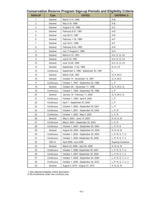| <b>SIGN-UP</b> | <b>Type</b>   | <b>DATES</b>                           | <b>CRITERIA 1/</b>        |
|----------------|---------------|----------------------------------------|---------------------------|
| 1              | General       | March 3-14, 1986                       | A-B                       |
| $\overline{2}$ | General       | May 5-16, 1986                         | A-B                       |
| 3              | General       | August 4-15, 1986                      | A-C                       |
| 4              | General       | February 9-27, 1987                    | A-D                       |
| 5              | General       | July 20-31, 1987                       | A-D                       |
| 6              | General       | February 1-19, 1988                    | A-F                       |
| 7              | General       | July 18-31, 1988                       | A-F                       |
| 8              | General       | February 6-24, 1989                    | A-H                       |
| 9              | General       | July 17-August 4, 1989                 | A-H                       |
| 10             | General       | March 4-15, 1991                       | A-C, E, G, I-K            |
| 11             | General       | July 8-19, 1991                        | A-C, E, G, I-K            |
| 12             | General       | June 15-26, 1992                       | A-C, E, G, I-K            |
| 13             | General       | September 11-22, 1995                  | E, G, I-K                 |
| 14             | Continuous    | September 3, 1996 - September 30, 1997 | L                         |
| 15             | General       | March 3-28, 1997                       | G, K, M-O                 |
| 16             | General       | October 14 - November 14, 1997         | G, K, M-O                 |
| 17             | Continuous    | October 1, 1997 - September 30, 1998   | L, P                      |
| 18             | General       | October 26, - December 11, 1998        | G, K, M-O, Q              |
| 19             | Continuous    | October 1, 1998 - September 30, 1999   | L, P                      |
| 20             | General       | January 18 - February 11, 2000         | G, K, M-O, Q              |
| 21             | Continuous    | October 1, 1999 - April 6, 2000        | L, P                      |
| 22             | Continuous    | April 7 - September 30, 2000           | L, P                      |
| 23             | Continuous    | October 1, 2000 - September 30, 2001   | L, P                      |
| 24             | Continuous    | October 1, 2001 - September 30, 2002   | L, P, R                   |
| 25             | Continuous    | October 1, 2002 - May 5, 2003          | L, P, R                   |
| 26             | General       | May 5, 2003 - June 13, 2003            | K, N, Q, W                |
| 27             | Continuous    | May 6, 2003 - September 30, 2003       | L, P, R                   |
| 28             | Continuous    | October 1, 2003 - September 30, 2004   | L, P, R, S                |
| 29             | General       | August 30, 2004 - September 24, 2004   | K, N, Q, W                |
| 30             | Continuous    | October 1, 2004 - September 30, 2005   | L, P, R, S, T, U          |
| 31             | Continuous    | October 1, 2005- September 30, 2006    | L, P, R, S, T, U          |
| 32             | <b>REX 2/</b> | April 2006, June 2006                  | <b>Expiring Contracts</b> |
| 33             | General       | March 22, 2006 - April 28, 2006        | K, N, Q, W                |
| 35             | Continuous    | October 1, 2006- September 30, 2007    | L, P, R, S, T, U          |
| 36             | Continuous    | October 1, 2007- September 30, 2008    | L, P, R, S, T, U          |
| 37             | Continuous    | October 1, 2008 - September 30, 2009   | L, P, R, S, T, U, V       |
| 38             | Continuous    | October 1, 2009 - September 30, 2010   | L, P, R, S, T, U, V       |
| 39             | General       | August 2, 2010 - August 27, 2010       | K, N, Q, W                |

#### **Conservation Reserve Program Sign-up Periods and Eligibility Criteria**

1/ See attached eligibility criteria description.

2/ Re-enrollments under new contracts only.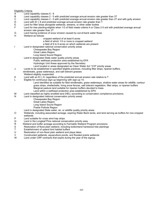Eligibility Criteria:

- A Land capability classes 6 8<br>B Land capability classes 2 5
- B Land capability classes 2 5 with predicted average annual erosion rate greater than 3T<br>C Land capability classes 2 5 with predicted average annual erosion rate greater than 2T
- C Land capability classes 2 5 with predicted average annual erosion rate greater than 2T and with gully erosion<br>D Land with EI > 8 and predicted average annual erosion rate greater than T
- D Land with  $E1 \geq 8$  and predicted average annual erosion rate greater than  $\overline{T}$  Land for filter strips alongside wetlands, streams, or other water bodies
- Land for filter strips alongside wetlands, streams, or other water bodies
- F Land for tree planting-eligible when 1/3 of field meets criteria A or Class 2-5 soil with predicted average annual erosion rate greater than 2T
- G Land having evidence of scour erosion caused by out-of-bank water flows
- H Wetland as follows:
	- cropped wetland of at least 6 acres
		- a field of which 1/3 or more is cropped wetland
	- a field of 6 to 9 acres on which wetlands are present
- I Land in designated national conservation priority areas
	- Chesapeake Bay Region
	- Great Lakes Region
	- Long Island Sound Region
	- Land in designated State water quality priority areas
		- Public wellhead protection area established by EPA
			- Hydrologic Unit Areas approved by the Secretary
			- Land located in areas designated as Clean Water Act "319" priority areas
- J Lands to be established in specified eligible practices, including filter strips, riparian buffers,
- windbreaks, grass waterways, and salt tolerant grasses
- Wetland eligibity suspended
- K Land with an EI > 8, regardless of the predicted annual erosion rate relative to T
- L Eligible for continuous sign-up beginning with sign-up 14:
	- Land identified as suitable for field windbreaks, grass waterways, shallow water areas for wildlife, contour grass strips, shelterbelts, living snow fences, salt tolerant vegetation, filter strips, or riparian buffers Marginal pasture land suitable for riparian buffers devoted to trees.
	- Land within a wellhead protection area established by EPA
- M Land classified as highly erodible land (HEL) according to conservation compliance provisions.
- N Land in designated national conservation priority areas:
	- Chesapeake Bay Region Great Lakes Region
	- Long Island Sound Region
	- Prairie Pothole Region
	- Land in designated State water, air, or wildlife quality priority areas
- O Wetlands, including associated acreage, expiring Water Bank lands, and land serving as buffers for non-cropped wetlands
- P Land suitable for cross wind trap strips
- Q Land in the Longleaf Pine national conservation priority area
- R Wetland and buffer acreage according to Farmable Wetland Program provisions
- S Restoration of flood plain wetland, including bottomland hardwood tree plantings
- T Establishment of upland bird habitat buffers
- U Restoration of non-flood plain wetland and playa lakes
- V Constructed wetlands, aquaculture ponds, and flooded prairie wetlands
- W Land under CRP contracts that expire during the year of the signup.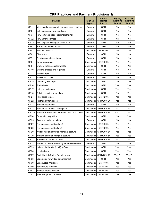|             | <b>Practice</b>                                  | Sign-up<br>Type 2/ | <b>Annual</b><br>Rental<br>Pmt. 3/ | <b>Signing</b><br><b>Incentive</b><br><b>Pmt. 4/</b> | <b>Practice</b><br><b>Incentive</b><br><b>Pmt. 4/</b> |
|-------------|--------------------------------------------------|--------------------|------------------------------------|------------------------------------------------------|-------------------------------------------------------|
| CP1         | Introduced grasses and legumes - new seedings    | General            | <b>SRR</b>                         | No                                                   | No                                                    |
| CP2         | Native grasses - new seedings                    | General            | <b>SRR</b>                         | No                                                   | No                                                    |
| CP3         | New softwood trees (not longleaf pine)           | General            | <b>SRR</b>                         | No                                                   | No                                                    |
| CP3A        | New hardwood trees                               | General            | <b>SRR</b>                         | No                                                   | No                                                    |
| CP3A        | New longleaf pines (see also CP36)               | General            | <b>SRR</b>                         | No                                                   | No                                                    |
| CP4         | Permanent wildlife habitat                       | General            | <b>SRR</b>                         | No                                                   | No                                                    |
| CP5         | Field windbreaks                                 | Continuous         | <b>SRR+20%</b>                     | Yes                                                  | Yes                                                   |
| CP6         | Diversions                                       | General            | <b>SRR</b>                         | No                                                   | No.                                                   |
| CP7         | Erosion control structures                       | General            | <b>SRR</b>                         | No                                                   | No                                                    |
| CP8         | Grass waterways                                  | Continuous         | <b>SRR+20%</b>                     | Yes                                                  | Yes                                                   |
| CP9         | Shallow water areas for wildlife                 | Continuous         | <b>SRR</b>                         | No                                                   | Yes                                                   |
| CP10        | Existing grasses and legumes                     | General            | <b>SRR</b>                         | No                                                   | No                                                    |
| CP11        | <b>Existing trees</b>                            | General            | <b>SRR</b>                         | No                                                   | No.                                                   |
| CP12        | Wildlife food plots                              | General            | <b>SRR</b>                         | No                                                   | No.                                                   |
| CP15        | Contour grass strips                             | Continuous         | <b>SRR</b>                         | No                                                   | Yes                                                   |
| CP16        | Shelterbelts                                     | Continuous         | <b>SRR</b>                         | Yes                                                  | Yes                                                   |
| <b>CP17</b> | Living snow fences                               | Continuous         | <b>SRR</b>                         | Yes                                                  | Yes                                                   |
| CP18        | Salinity reducing vegetation                     | Continuous         | <b>SRR</b>                         | No                                                   | Yes                                                   |
| CP21        | Filter strips (grass)                            | Continuous         | <b>SRR+20%</b>                     | Yes                                                  | Yes                                                   |
| CP22        | Riparian buffers (trees)                         | Continuous         | SRR+20% 6/                         | Yes                                                  | Yes                                                   |
| CP23        | Wetland restoration                              | General            | <b>SRR</b>                         | No                                                   | No.                                                   |
| CP23        | Wetland restoration - flood plain                | Continuous         | SRR+20% 7/                         | Yes 7/                                               | Yes 7/                                                |
| CP23A       | Wetland Restoration - Non-flood plain and playas | Continuous         | SRR+20% 7/                         | <b>Yrs 7/</b>                                        | <b>Yes 7/</b>                                         |
| CP24        | Cross wind trap strips                           | Continuous         | <b>SRR</b>                         | No                                                   | Yes                                                   |
| CP25        | Rare and declining habitats                      | General            | <b>SRR</b>                         | No                                                   | No                                                    |
| CP27        | Farmable wetland (wetland)                       | Continuous         | <b>SRR+20%</b>                     | Yes                                                  | Yes                                                   |
| CP28        | Farmable wetland (upland)                        | Continuous         | SRR+20%                            | Yes                                                  | Yes                                                   |
| CP29        | Wildlife habitat buffer on marginal pasture      | Continuous         | SRR+20% 6/                         | Yes                                                  | Yes                                                   |
| CP30        | Wetland buffer on marginal pasture               |                    | Continuous SRR+20% 6/              | Yes                                                  | Yes                                                   |
| CP31        | Bottomland hardwood trees                        | Continuous         | SRR+20% 7/                         | <b>Yes 7/</b>                                        | <b>Yes 7/</b>                                         |
| CP32        | Hardwood trees (previously expired contracts)    | General            | <b>SRR</b>                         | No                                                   | No                                                    |
| CP33        | Upland bird habitat (quail) buffers              | Continuous         | <b>SRR</b>                         | Yes                                                  | Yes                                                   |
| CP36        | Longleaf pine                                    | Continuous         | <b>SRR</b>                         | Yes                                                  | Yes                                                   |
| CP37        | Duck Habitat (Paririe Pothole area)              | Continuous         | SRR+20% 7/                         | <b>Yes 7/</b>                                        | <b>Yes 7/</b>                                         |
| CP38        | State acres for wildlife enhancement             | Continuous         | <b>SRR</b>                         | Yes                                                  | Yes                                                   |
| CP39        | <b>Constructed Wetlands</b>                      | Continuous         | SRR+10%                            | Yes                                                  | Yes                                                   |
| CP40        | <b>Aquaculture Wetlands</b>                      | Continuous         | <b>SRR+10%</b>                     | Yes                                                  | Yes                                                   |
| CP41        | <b>Flooded Prairie Wetlands</b>                  | Continuous         | SRR+10%                            | Yes                                                  | Yes                                                   |
| --          | Wellhead protection areas                        | Continuous         | SRR+10%                            | Yes                                                  | Yes                                                   |

#### **CRP Practices and Payment Provisions 1/**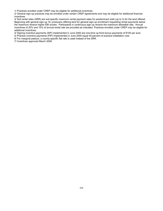1/ Practices enrolled under CREP may be eligible for additional incentives.

2/ General sign-up practices may be enrolled under certain CREP agreements and may be eligible for additional financial incentives.

3/ Soil rental rates (SRR) are soil-specific maximum rental payment rates for predominant soils (up to 3) for the land offered. Beginning with general sign-up 16, producers offering land for general sign-up enrollment requesting rental payments below the maximum receive higher EBI scores. Participants in continuous sign-up receive the maximum allowable rate. Annual incentives of 20% and 10% of annual rental rate are provided as indicated. Practices enrolled under CREP may be eligible for additional incentives.

4/ Signing incentive payments (SIP) implemented in June 2000 are one-time up-front bonus payments of \$100 per acre.

5/ Practice incentive payments (PIP) implemented in June 2000 equal 40-percent of practice installation cost.

6/ For marginal pasture, a county-specific flat rate is used instead of the SRR.

7/ Incentives approved March 2008.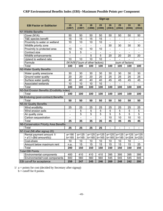#### **CRP Environmental Benefits Index (EBI)--Maximum Possible Points per Component**

|                                              | Sign-up                         |                |                                                       |                          |                              |                              |                              |                |
|----------------------------------------------|---------------------------------|----------------|-------------------------------------------------------|--------------------------|------------------------------|------------------------------|------------------------------|----------------|
| <b>EBI Factor or Subfactor</b>               | 15<br>(1997)                    | 16<br>(1997)   | 18<br>(1998)                                          | 20<br>(1999)             | 26<br>(2003)                 | 29<br>(2004)                 | 33<br>(2006)                 | 39<br>(2010)   |
| N1-Wildlife Benefits                         |                                 |                |                                                       |                          |                              |                              |                              |                |
| Cover (N1A)                                  | 50                              | 50             | 50                                                    | 50                       | 50                           | 50                           | 50                           | 50             |
| T&E species benefit                          | 15                              | 15             | 15                                                    | 15                       | $\qquad \qquad \blacksquare$ | $\qquad \qquad \blacksquare$ | $\qquad \qquad \blacksquare$ |                |
| Proximity to water or wetland                | 10                              | 10             | 10                                                    | 10                       | $\blacksquare$               | $\overline{\phantom{a}}$     | $\blacksquare$               | $\blacksquare$ |
| Wildlife priority zone                       | $\blacksquare$                  | $\blacksquare$ | $\blacksquare$                                        | $\blacksquare$           | 30                           | 30                           | 30                           | 30             |
| Proximity to protected area                  | 10                              | 10             | 10                                                    | 10                       | $\overline{\phantom{0}}$     |                              |                              |                |
| Contract size                                | 5                               | 5              |                                                       |                          |                              |                              |                              |                |
| Wildlife enhancements                        |                                 |                | $\overline{5}$                                        | $\overline{5}$           | 20                           | 20                           | 20                           | 20             |
| Upland to wetland ratio                      | 10                              | 10             | 10                                                    | 10                       |                              |                              |                              |                |
| Formula                                      | (N1A/50)*(sum of other factors) |                |                                                       |                          | (sum of factors)             |                              |                              |                |
| Total                                        | 100                             | 100            | 100                                                   | 100                      | 100                          | 100                          | 100                          | 100            |
| N2-Water Quality Benefits                    |                                 |                |                                                       |                          |                              |                              |                              |                |
| Water quality area/zone                      | 30                              | 30             | 30                                                    | 30                       | 30                           | 30                           | 30                           | 30             |
| Ground water quality                         | 20                              | 20             | 20                                                    | 20                       | 25                           | 25                           | 25                           | 25             |
| Surface water quality                        | 40                              | 40             | 40                                                    | 40                       | 45                           | 45                           | 45                           | 45             |
| Associated wetlands                          | 10                              | 10             | 10                                                    | 10                       |                              |                              |                              |                |
| Total                                        | 100                             | 100            | 100                                                   | 100                      | 100                          | 100                          | 100                          | 100            |
| N3-Soil Erosion Benefits (Erodibility index) |                                 |                |                                                       |                          |                              |                              |                              |                |
| Total                                        | 100                             | 100            | 100                                                   | 100                      | 100                          | 100                          | 100                          | 100            |
| N4-Enduring (post-contract) Benefits         |                                 |                |                                                       |                          |                              |                              |                              |                |
| Total                                        | 50                              | 50             | 50                                                    | 50                       | 50                           | 50                           | 50                           | 50             |
| N5-Air Quality Benefits                      |                                 |                |                                                       |                          |                              |                              |                              |                |
| Wind erodibility                             | 25                              | 25             | 25                                                    | 25                       | 25                           | 25                           | 25                           | 25             |
| Wind erosion soils                           | $\blacksquare$                  | 5              | 5                                                     | 5                        | 5                            | 5                            | 5                            | 5              |
| Air quality zone                             | $\blacksquare$                  | 5              | 5                                                     | $\overline{5}$           | 5                            | 5                            | 5                            | 5              |
| Carbon sequestration                         | $\blacksquare$                  | $\overline{a}$ | $\overline{a}$                                        | $\overline{\phantom{a}}$ | 10                           | 10                           | 10                           | 10             |
| Total                                        | 25                              | 35             | 35                                                    | 35                       | 45                           | 45                           | 45                           | 45             |
| N6-Conservation Priority Area Benefits       |                                 |                |                                                       |                          |                              |                              |                              |                |
| Total                                        | 25                              | 25             | 25                                                    | 25                       | $\blacksquare$               | $\qquad \qquad \blacksquare$ | $\blacksquare$               |                |
| N7-Cost (N6 after signup 20)                 |                                 |                |                                                       |                          |                              |                              |                              |                |
| Rental payment amount 1/                     | $a = 190$                       |                | a=125   a=125   a=125   a=125   a=125   a=125   a=125 |                          |                              |                              |                              |                |
| $= a*(1-(Bid amount/b))$                     | $b = 165$                       | $b = 165$      | $b = 165$                                             | $b = 165$                |                              | $b=185$ $b=185$              | $b = 204$                    | $b = 220$      |
| Cost-share                                   | 10                              | 10             | 10                                                    | 10                       | 10                           | 10                           | 10                           |                |
| Amount below maximum rent                    | n.a.                            | 15             | 15                                                    | 15                       | 15                           | 15                           | 15                           | 25             |
| Total                                        | 200                             | 150            | 150                                                   | 150                      | 150                          | 150                          | 150                          | 150            |
| <b>Total EBI Points</b>                      |                                 |                |                                                       |                          |                              |                              |                              |                |
| Environmental components                     | 400                             | 410            | 410                                                   | 410                      | 395                          | 395                          | 395                          | 395            |
| Environmental+cost components                | 600                             | 560            | 560                                                   | 560                      | 545                          | 545                          | 545                          | 545            |
| EBI cut-off for acceptance                   | 259                             | 247            | 245                                                   | 246                      | 269                          | 248                          | 242                          | 200            |

 $1/ a =$  points for cost (decided by Secretary after signup)

 $b = cutoff for 0 points.$